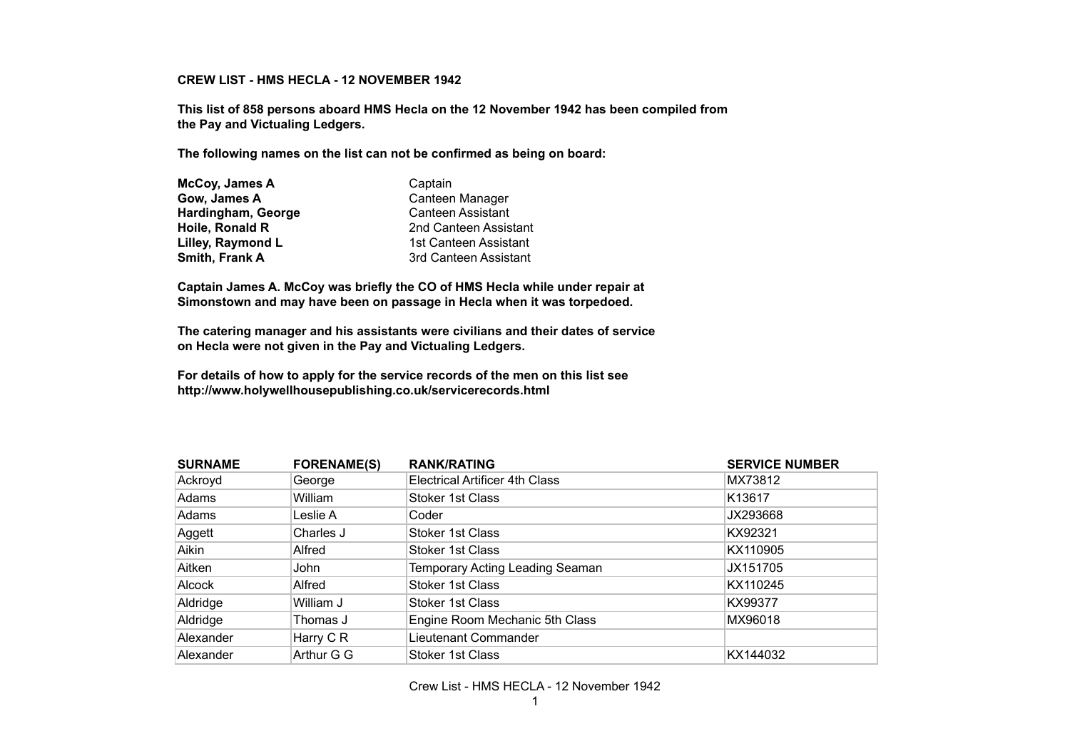## **CREW LIST - HMS HECLA - 12 NOVEMBER 1942**

**This list of 858 persons aboard HMS Hecla on the 12 November 1942 has been compiled from the Pay and Victualing Ledgers.** 

**The following names on the list can not be confirmed as being on board:**

| McCoy, James A     | Captain                  |
|--------------------|--------------------------|
| Gow, James A       | Canteen Manager          |
| Hardingham, George | <b>Canteen Assistant</b> |
| Hoile, Ronald R    | 2nd Canteen Assistant    |
| Lilley, Raymond L  | 1st Canteen Assistant    |
| Smith, Frank A     | 3rd Canteen Assistant    |

**Captain James A. McCoy was briefly the CO of HMS Hecla while under repair at Simonstown and may have been on passage in Hecla when it was torpedoed.**

**The catering manager and his assistants were civilians and their dates of service on Hecla were not given in the Pay and Victualing Ledgers.**

**For details of how to apply for the service records of the men on this list see http://www.holywellhousepublishing.co.uk/servicerecords.html**

| <b>SURNAME</b> | <b>FORENAME(S)</b>   | <b>RANK/RATING</b>                    | <b>SERVICE NUMBER</b> |
|----------------|----------------------|---------------------------------------|-----------------------|
| Ackroyd        | George               | <b>Electrical Artificer 4th Class</b> | MX73812               |
| Adams          | William              | Stoker 1st Class                      | K <sub>13617</sub>    |
| Adams          | Leslie A             | Coder                                 | JX293668              |
| Aggett         | Charles J            | Stoker 1st Class                      | KX92321               |
| Aikin          | Alfred               | Stoker 1st Class                      | KX110905              |
| Aitken         | John                 | Temporary Acting Leading Seaman       | JX151705              |
| Alcock         | Alfred               | <b>Stoker 1st Class</b>               | KX110245              |
| Aldridge       | William J            | Stoker 1st Class                      | KX99377               |
| Aldridge       | Thomas J             | Engine Room Mechanic 5th Class        | MX96018               |
| Alexander      | Harry C <sub>R</sub> | Lieutenant Commander                  |                       |
| Alexander      | Arthur G G           | Stoker 1st Class                      | KX144032              |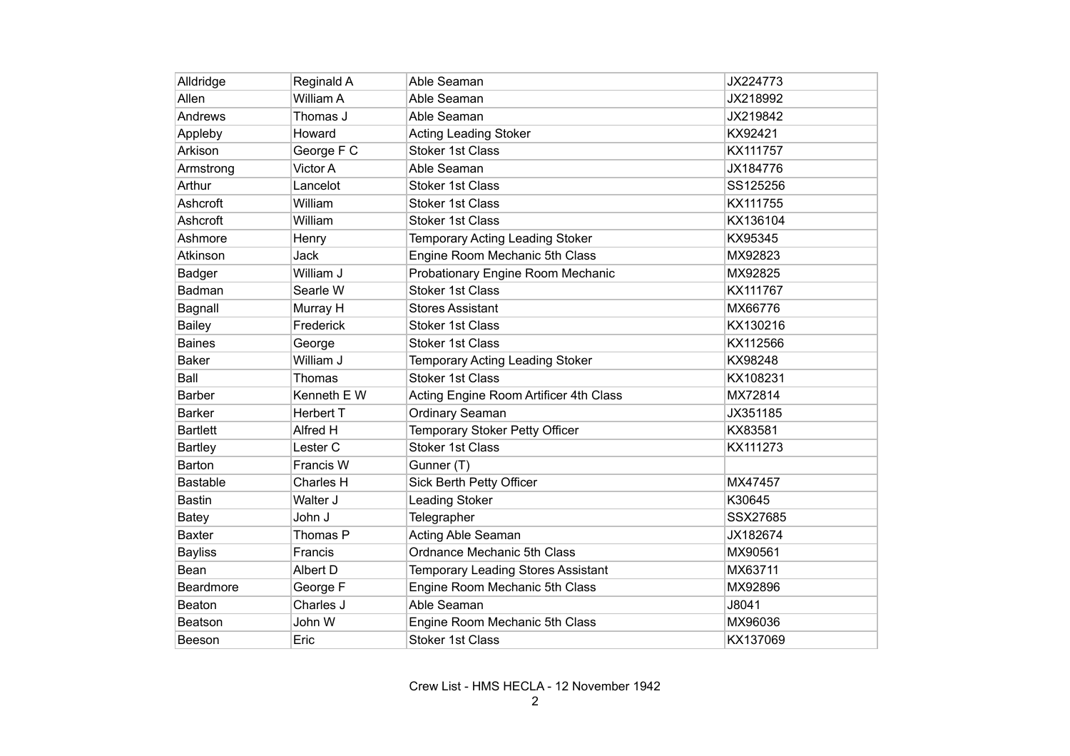| Alldridge       | Reginald A       | Able Seaman                               | JX224773 |
|-----------------|------------------|-------------------------------------------|----------|
| Allen           | William A        | Able Seaman                               | JX218992 |
| Andrews         | Thomas J         | Able Seaman                               | JX219842 |
| Appleby         | Howard           | <b>Acting Leading Stoker</b>              | KX92421  |
| Arkison         | George F C       | <b>Stoker 1st Class</b>                   | KX111757 |
| Armstrong       | Victor A         | Able Seaman                               | JX184776 |
| Arthur          | Lancelot         | <b>Stoker 1st Class</b>                   | SS125256 |
| Ashcroft        | William          | <b>Stoker 1st Class</b>                   | KX111755 |
| Ashcroft        | William          | <b>Stoker 1st Class</b>                   | KX136104 |
| Ashmore         | Henry            | Temporary Acting Leading Stoker           | KX95345  |
| Atkinson        | Jack             | Engine Room Mechanic 5th Class            | MX92823  |
| Badger          | William J        | Probationary Engine Room Mechanic         | MX92825  |
| Badman          | Searle W         | <b>Stoker 1st Class</b>                   | KX111767 |
| Bagnall         | Murray H         | <b>Stores Assistant</b>                   | MX66776  |
| <b>Bailey</b>   | Frederick        | Stoker 1st Class                          | KX130216 |
| <b>Baines</b>   | George           | <b>Stoker 1st Class</b>                   | KX112566 |
| <b>Baker</b>    | William J        | Temporary Acting Leading Stoker           | KX98248  |
| Ball            | Thomas           | <b>Stoker 1st Class</b>                   | KX108231 |
| <b>Barber</b>   | Kenneth E W      | Acting Engine Room Artificer 4th Class    | MX72814  |
| <b>Barker</b>   | <b>Herbert T</b> | Ordinary Seaman                           | JX351185 |
| <b>Bartlett</b> | Alfred H         | Temporary Stoker Petty Officer            | KX83581  |
| <b>Bartley</b>  | Lester C         | <b>Stoker 1st Class</b>                   | KX111273 |
| Barton          | Francis W        | Gunner (T)                                |          |
| <b>Bastable</b> | Charles H        | Sick Berth Petty Officer                  | MX47457  |
| <b>Bastin</b>   | Walter J         | <b>Leading Stoker</b>                     | K30645   |
| <b>Batey</b>    | John J           | Telegrapher                               | SSX27685 |
| <b>Baxter</b>   | Thomas P         | Acting Able Seaman                        | JX182674 |
| <b>Bayliss</b>  | Francis          | Ordnance Mechanic 5th Class               | MX90561  |
| Bean            | Albert D         | <b>Temporary Leading Stores Assistant</b> | MX63711  |
| Beardmore       | George F         | Engine Room Mechanic 5th Class            | MX92896  |
| Beaton          | Charles J        | Able Seaman                               | J8041    |
| <b>Beatson</b>  | John W           | Engine Room Mechanic 5th Class            | MX96036  |
| Beeson          | Eric             | <b>Stoker 1st Class</b>                   | KX137069 |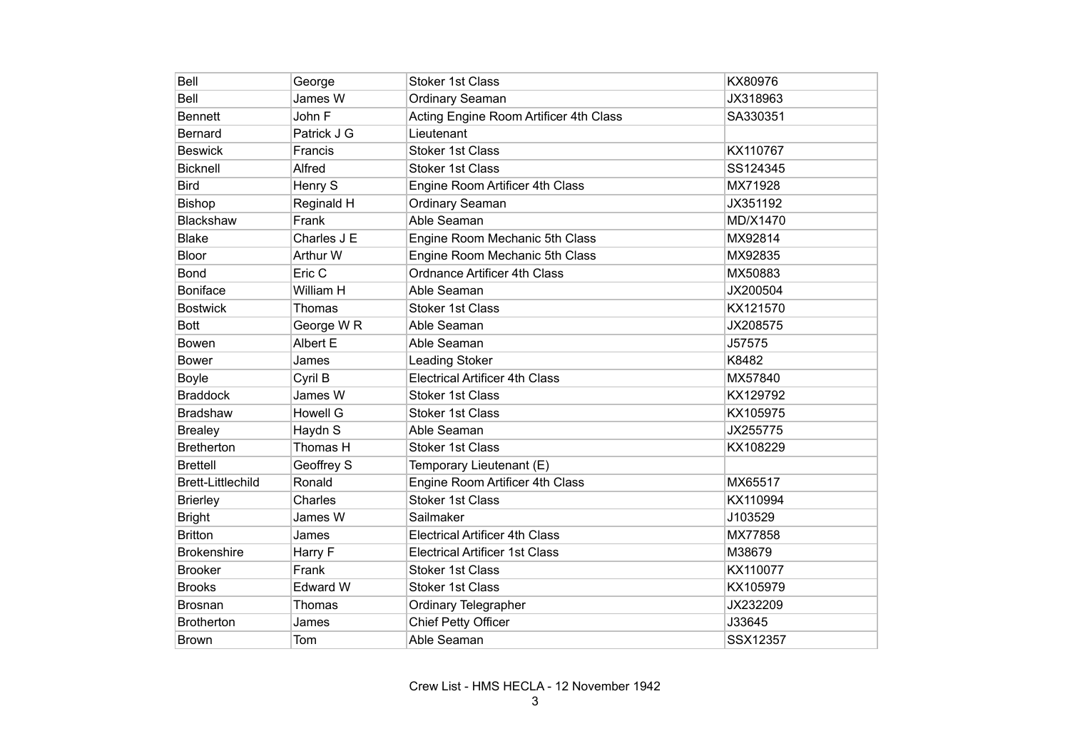| Bell                     | George                | <b>Stoker 1st Class</b>                | KX80976  |
|--------------------------|-----------------------|----------------------------------------|----------|
| Bell                     | James W               | Ordinary Seaman                        | JX318963 |
| <b>Bennett</b>           | John F                | Acting Engine Room Artificer 4th Class | SA330351 |
| <b>Bernard</b>           | Patrick J G           | Lieutenant                             |          |
| <b>Beswick</b>           | Francis               | <b>Stoker 1st Class</b>                | KX110767 |
| <b>Bicknell</b>          | Alfred                | <b>Stoker 1st Class</b>                | SS124345 |
| <b>Bird</b>              | Henry S               | Engine Room Artificer 4th Class        | MX71928  |
| Bishop                   | Reginald H            | Ordinary Seaman                        | JX351192 |
| Blackshaw                | Frank                 | Able Seaman                            | MD/X1470 |
| <b>Blake</b>             | Charles J E           | Engine Room Mechanic 5th Class         | MX92814  |
| Bloor                    | Arthur W              | Engine Room Mechanic 5th Class         | MX92835  |
| <b>Bond</b>              | Eric C                | Ordnance Artificer 4th Class           | MX50883  |
| <b>Boniface</b>          | William H             | Able Seaman                            | JX200504 |
| <b>Bostwick</b>          | Thomas                | <b>Stoker 1st Class</b>                | KX121570 |
| <b>Bott</b>              | George W <sub>R</sub> | Able Seaman                            | JX208575 |
| <b>Bowen</b>             | Albert E              | Able Seaman                            | J57575   |
| <b>Bower</b>             | James                 | Leading Stoker                         | K8482    |
| <b>Boyle</b>             | Cyril B               | <b>Electrical Artificer 4th Class</b>  | MX57840  |
| <b>Braddock</b>          | James W               | <b>Stoker 1st Class</b>                | KX129792 |
| Bradshaw                 | <b>Howell G</b>       | <b>Stoker 1st Class</b>                | KX105975 |
| <b>Brealey</b>           | Haydn S               | Able Seaman                            | JX255775 |
| <b>Bretherton</b>        | Thomas H              | <b>Stoker 1st Class</b>                | KX108229 |
| <b>Brettell</b>          | Geoffrey S            | Temporary Lieutenant (E)               |          |
| <b>Brett-Littlechild</b> | Ronald                | Engine Room Artificer 4th Class        | MX65517  |
| <b>Brierley</b>          | Charles               | <b>Stoker 1st Class</b>                | KX110994 |
| <b>Bright</b>            | James W               | Sailmaker                              | J103529  |
| <b>Britton</b>           | James                 | <b>Electrical Artificer 4th Class</b>  | MX77858  |
| <b>Brokenshire</b>       | Harry F               | <b>Electrical Artificer 1st Class</b>  | M38679   |
| <b>Brooker</b>           | Frank                 | <b>Stoker 1st Class</b>                | KX110077 |
| <b>Brooks</b>            | <b>Edward W</b>       | <b>Stoker 1st Class</b>                | KX105979 |
| <b>Brosnan</b>           | Thomas                | Ordinary Telegrapher                   | JX232209 |
| <b>Brotherton</b>        | James                 | Chief Petty Officer                    | J33645   |
| <b>Brown</b>             | Tom                   | Able Seaman                            | SSX12357 |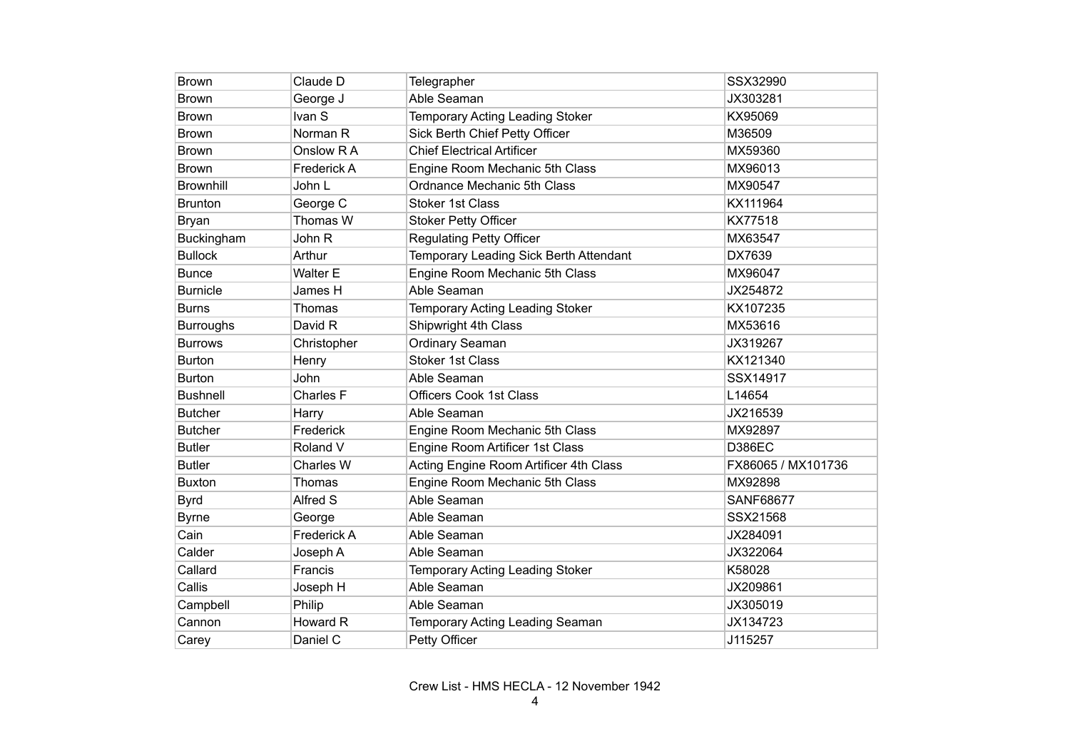| <b>Brown</b>     | Claude D            | Telegrapher                            | SSX32990           |
|------------------|---------------------|----------------------------------------|--------------------|
| <b>Brown</b>     | George J            | Able Seaman                            | JX303281           |
| <b>Brown</b>     | Ivan S              | Temporary Acting Leading Stoker        | KX95069            |
| <b>Brown</b>     | Norman <sub>R</sub> | Sick Berth Chief Petty Officer         | M36509             |
| <b>Brown</b>     | Onslow R A          | <b>Chief Electrical Artificer</b>      | MX59360            |
| <b>Brown</b>     | <b>Frederick A</b>  | Engine Room Mechanic 5th Class         | MX96013            |
| <b>Brownhill</b> | John L              | Ordnance Mechanic 5th Class            | MX90547            |
| <b>Brunton</b>   | George C            | <b>Stoker 1st Class</b>                | KX111964           |
| <b>Bryan</b>     | Thomas W            | <b>Stoker Petty Officer</b>            | KX77518            |
| Buckingham       | John R              | <b>Regulating Petty Officer</b>        | MX63547            |
| <b>Bullock</b>   | Arthur              | Temporary Leading Sick Berth Attendant | DX7639             |
| <b>Bunce</b>     | Walter E            | Engine Room Mechanic 5th Class         | MX96047            |
| <b>Burnicle</b>  | James H             | Able Seaman                            | JX254872           |
| <b>Burns</b>     | Thomas              | Temporary Acting Leading Stoker        | KX107235           |
| <b>Burroughs</b> | David R             | Shipwright 4th Class                   | MX53616            |
| <b>Burrows</b>   | Christopher         | Ordinary Seaman                        | JX319267           |
| <b>Burton</b>    | Henry               | <b>Stoker 1st Class</b>                | KX121340           |
| <b>Burton</b>    | John                | Able Seaman                            | SSX14917           |
| <b>Bushnell</b>  | Charles F           | <b>Officers Cook 1st Class</b>         | L14654             |
| <b>Butcher</b>   | Harry               | Able Seaman                            | JX216539           |
| <b>Butcher</b>   | Frederick           | Engine Room Mechanic 5th Class         | MX92897            |
| <b>Butler</b>    | Roland V            | Engine Room Artificer 1st Class        | <b>D386EC</b>      |
| <b>Butler</b>    | <b>Charles W</b>    | Acting Engine Room Artificer 4th Class | FX86065 / MX101736 |
| <b>Buxton</b>    | Thomas              | Engine Room Mechanic 5th Class         | MX92898            |
| <b>Byrd</b>      | Alfred S            | Able Seaman                            | <b>SANF68677</b>   |
| <b>Byrne</b>     | George              | Able Seaman                            | SSX21568           |
| Cain             | Frederick A         | Able Seaman                            | JX284091           |
| Calder           | Joseph A            | Able Seaman                            | JX322064           |
| Callard          | Francis             | Temporary Acting Leading Stoker        | K58028             |
| Callis           | Joseph H            | Able Seaman                            | JX209861           |
| Campbell         | Philip              | Able Seaman                            | JX305019           |
| Cannon           | Howard R            | Temporary Acting Leading Seaman        | JX134723           |
| Carey            | Daniel C            | Petty Officer                          | J115257            |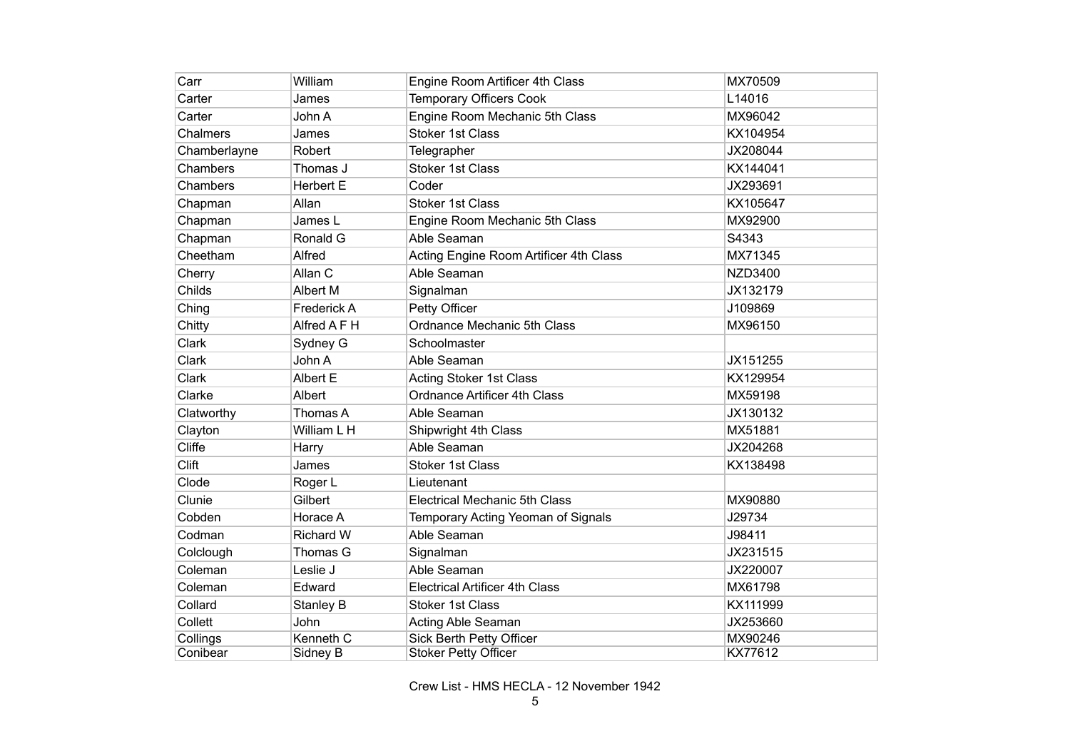| Carr         | William          | Engine Room Artificer 4th Class        | MX70509        |
|--------------|------------------|----------------------------------------|----------------|
| Carter       | James            | <b>Temporary Officers Cook</b>         | L14016         |
| Carter       | John A           | Engine Room Mechanic 5th Class         | MX96042        |
| Chalmers     | James            | <b>Stoker 1st Class</b>                | KX104954       |
| Chamberlayne | Robert           | Telegrapher                            | JX208044       |
| Chambers     | Thomas J         | <b>Stoker 1st Class</b>                | KX144041       |
| Chambers     | <b>Herbert E</b> | Coder                                  | JX293691       |
| Chapman      | Allan            | <b>Stoker 1st Class</b>                | KX105647       |
| Chapman      | James L          | Engine Room Mechanic 5th Class         | MX92900        |
| Chapman      | Ronald G         | Able Seaman                            | S4343          |
| Cheetham     | Alfred           | Acting Engine Room Artificer 4th Class | MX71345        |
| Cherry       | Allan C          | Able Seaman                            | <b>NZD3400</b> |
| Childs       | Albert M         | Signalman                              | JX132179       |
| Ching        | Frederick A      | Petty Officer                          | J109869        |
| Chitty       | Alfred A F H     | Ordnance Mechanic 5th Class            | MX96150        |
| Clark        | Sydney G         | Schoolmaster                           |                |
| Clark        | John A           | Able Seaman                            | JX151255       |
| Clark        | Albert E         | <b>Acting Stoker 1st Class</b>         | KX129954       |
| Clarke       | Albert           | <b>Ordnance Artificer 4th Class</b>    | MX59198        |
| Clatworthy   | Thomas A         | Able Seaman                            | JX130132       |
| Clayton      | William L H      | Shipwright 4th Class                   | MX51881        |
| Cliffe       | Harry            | Able Seaman                            | JX204268       |
| Clift        | James            | <b>Stoker 1st Class</b>                | KX138498       |
| Clode        | Roger L          | Lieutenant                             |                |
| Clunie       | Gilbert          | <b>Electrical Mechanic 5th Class</b>   | MX90880        |
| Cobden       | Horace A         | Temporary Acting Yeoman of Signals     | J29734         |
| Codman       | <b>Richard W</b> | Able Seaman                            | J98411         |
| Colclough    | Thomas G         | Signalman                              | JX231515       |
| Coleman      | Leslie J         | Able Seaman                            | JX220007       |
| Coleman      | Edward           | <b>Electrical Artificer 4th Class</b>  | MX61798        |
| Collard      | Stanley B        | <b>Stoker 1st Class</b>                | KX111999       |
| Collett      | John             | Acting Able Seaman                     | JX253660       |
| Collings     | Kenneth C        | Sick Berth Petty Officer               | MX90246        |
| Conibear     | Sidney B         | <b>Stoker Petty Officer</b>            | KX77612        |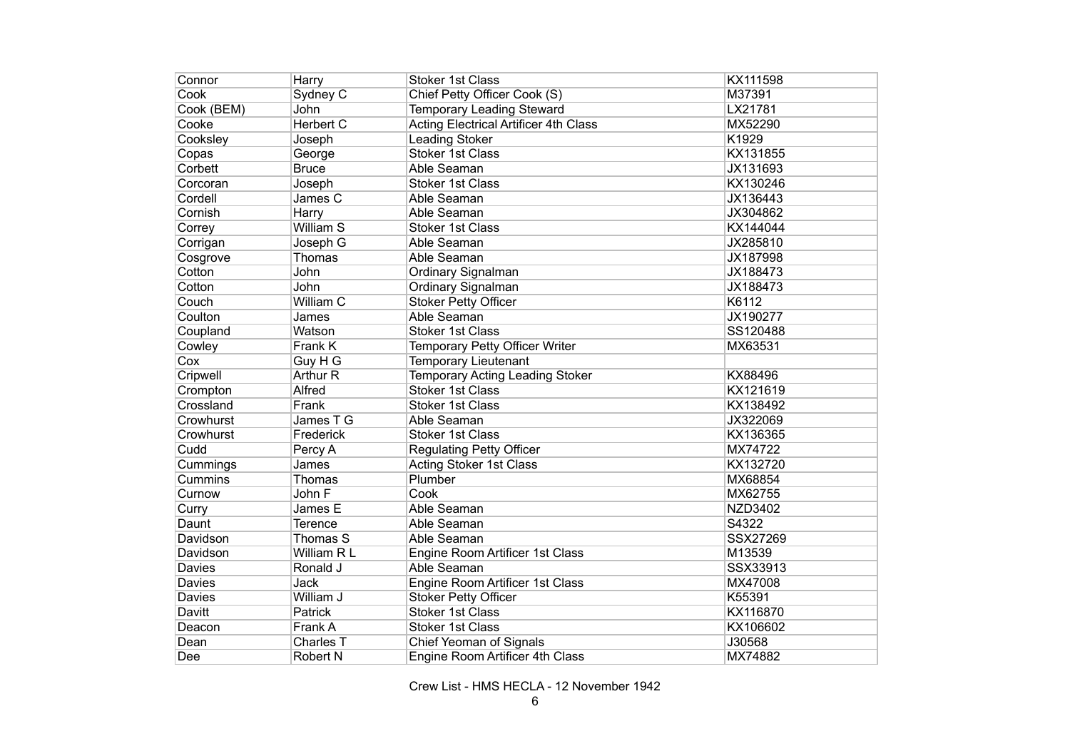| Connor        | Harry                | <b>Stoker 1st Class</b>                      | KX111598       |
|---------------|----------------------|----------------------------------------------|----------------|
| Cook          | Sydney C             | Chief Petty Officer Cook (S)                 | M37391         |
| Cook (BEM)    | John                 | <b>Temporary Leading Steward</b>             | LX21781        |
| Cooke         | <b>Herbert C</b>     | <b>Acting Electrical Artificer 4th Class</b> | MX52290        |
| Cooksley      | Joseph               | <b>Leading Stoker</b>                        | K1929          |
| Copas         | George               | <b>Stoker 1st Class</b>                      | KX131855       |
| Corbett       | <b>Bruce</b>         | Able Seaman                                  | JX131693       |
| Corcoran      | Joseph               | <b>Stoker 1st Class</b>                      | KX130246       |
| Cordell       | James C              | Able Seaman                                  | JX136443       |
| Cornish       | Harry                | Able Seaman                                  | JX304862       |
| Correy        | William <sub>S</sub> | <b>Stoker 1st Class</b>                      | KX144044       |
| Corrigan      | Joseph G             | Able Seaman                                  | JX285810       |
| Cosgrove      | Thomas               | Able Seaman                                  | JX187998       |
| Cotton        | John                 | Ordinary Signalman                           | JX188473       |
| Cotton        | John                 | Ordinary Signalman                           | JX188473       |
| Couch         | William C            | <b>Stoker Petty Officer</b>                  | K6112          |
| Coulton       | James                | Able Seaman                                  | JX190277       |
| Coupland      | Watson               | <b>Stoker 1st Class</b>                      | SS120488       |
| Cowley        | Frank K              | Temporary Petty Officer Writer               | MX63531        |
| Cox           | Guy H G              | <b>Temporary Lieutenant</b>                  |                |
| Cripwell      | Arthur R             | Temporary Acting Leading Stoker              | KX88496        |
| Crompton      | Alfred               | <b>Stoker 1st Class</b>                      | KX121619       |
| Crossland     | Frank                | <b>Stoker 1st Class</b>                      | KX138492       |
| Crowhurst     | James T G            | Able Seaman                                  | JX322069       |
| Crowhurst     | Frederick            | <b>Stoker 1st Class</b>                      | KX136365       |
| Cudd          | Percy A              | Regulating Petty Officer                     | MX74722        |
| Cummings      | James                | <b>Acting Stoker 1st Class</b>               | KX132720       |
| Cummins       | Thomas               | Plumber                                      | MX68854        |
| Curnow        | John F               | Cook                                         | MX62755        |
| Curry         | James E              | Able Seaman                                  | <b>NZD3402</b> |
| Daunt         | <b>Terence</b>       | Able Seaman                                  | S4322          |
| Davidson      | Thomas S             | Able Seaman                                  | SSX27269       |
| Davidson      | William R L          | Engine Room Artificer 1st Class              | M13539         |
| <b>Davies</b> | Ronald J             | Able Seaman                                  | SSX33913       |
| <b>Davies</b> | Jack                 | Engine Room Artificer 1st Class              | MX47008        |
| Davies        | William J            | <b>Stoker Petty Officer</b>                  | K55391         |
| Davitt        | Patrick              | <b>Stoker 1st Class</b>                      | KX116870       |
| Deacon        | Frank A              | <b>Stoker 1st Class</b>                      | KX106602       |
| Dean          | Charles T            | Chief Yeoman of Signals                      | J30568         |
| Dee           | <b>Robert N</b>      | Engine Room Artificer 4th Class              | MX74882        |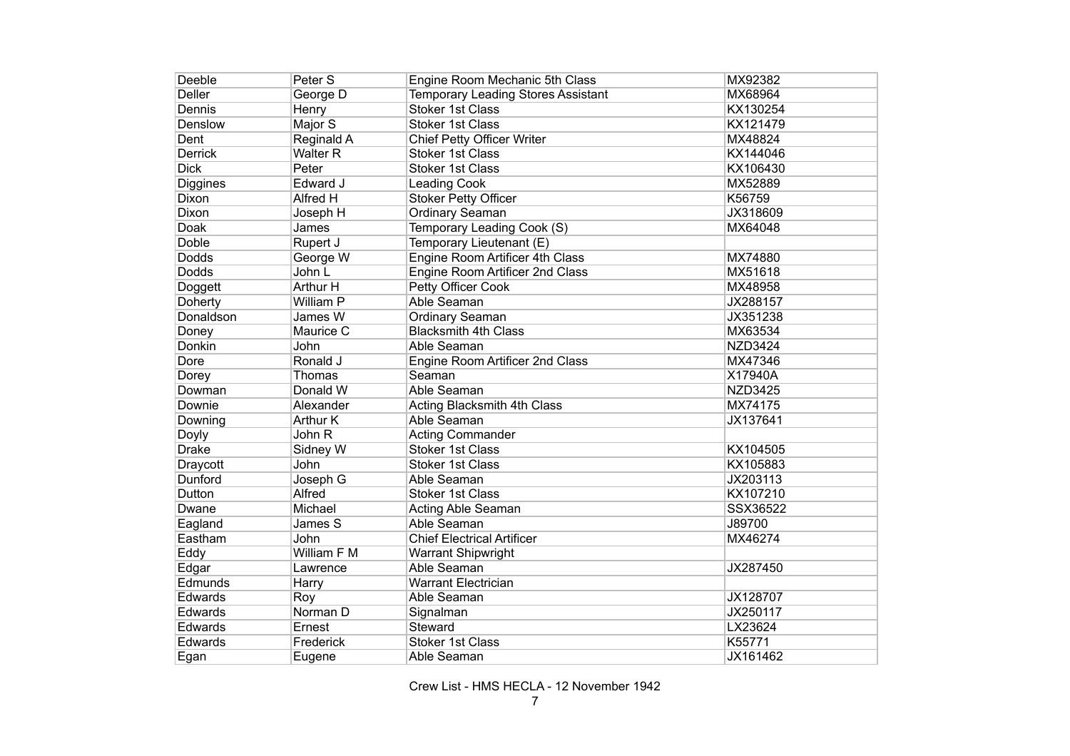| Deeble        | Peter S         | Engine Room Mechanic 5th Class     | MX92382        |
|---------------|-----------------|------------------------------------|----------------|
| <b>Deller</b> | George D        | Temporary Leading Stores Assistant | MX68964        |
| Dennis        | Henry           | <b>Stoker 1st Class</b>            | KX130254       |
| Denslow       | Major S         | <b>Stoker 1st Class</b>            | KX121479       |
| Dent          | Reginald A      | Chief Petty Officer Writer         | MX48824        |
| Derrick       | <b>Walter R</b> | <b>Stoker 1st Class</b>            | KX144046       |
| <b>Dick</b>   | Peter           | <b>Stoker 1st Class</b>            | KX106430       |
| Diggines      | Edward J        | <b>Leading Cook</b>                | MX52889        |
| Dixon         | Alfred H        | <b>Stoker Petty Officer</b>        | K56759         |
| Dixon         | Joseph H        | Ordinary Seaman                    | JX318609       |
| Doak          | James           | Temporary Leading Cook (S)         | MX64048        |
| Doble         | Rupert J        | Temporary Lieutenant (E)           |                |
| Dodds         | George W        | Engine Room Artificer 4th Class    | MX74880        |
| <b>Dodds</b>  | John L          | Engine Room Artificer 2nd Class    | MX51618        |
| Doggett       | Arthur H        | Petty Officer Cook                 | MX48958        |
| Doherty       | William P       | Able Seaman                        | JX288157       |
| Donaldson     | James W         | Ordinary Seaman                    | JX351238       |
| Doney         | Maurice C       | <b>Blacksmith 4th Class</b>        | MX63534        |
| Donkin        | John            | Able Seaman                        | <b>NZD3424</b> |
| Dore          | Ronald J        | Engine Room Artificer 2nd Class    | MX47346        |
| Dorey         | Thomas          | Seaman                             | X17940A        |
| Dowman        | Donald W        | Able Seaman                        | <b>NZD3425</b> |
| Downie        | Alexander       | Acting Blacksmith 4th Class        | MX74175        |
| Downing       | Arthur K        | Able Seaman                        | JX137641       |
| Doyly         | John R          | <b>Acting Commander</b>            |                |
| <b>Drake</b>  | Sidney W        | <b>Stoker 1st Class</b>            | KX104505       |
| Draycott      | John            | Stoker 1st Class                   | KX105883       |
| Dunford       | Joseph G        | Able Seaman                        | JX203113       |
| Dutton        | <b>Alfred</b>   | <b>Stoker 1st Class</b>            | KX107210       |
| Dwane         | Michael         | Acting Able Seaman                 | SSX36522       |
| Eagland       | James S         | Able Seaman                        | J89700         |
| Eastham       | John            | <b>Chief Electrical Artificer</b>  | MX46274        |
| Eddy          | William F M     | <b>Warrant Shipwright</b>          |                |
| Edgar         | Lawrence        | Able Seaman                        | JX287450       |
| Edmunds       | Harry           | <b>Warrant Electrician</b>         |                |
| Edwards       | Roy             | Able Seaman                        | JX128707       |
| Edwards       | Norman D        | Signalman                          | JX250117       |
| Edwards       | Ernest          | Steward                            | LX23624        |
| Edwards       | Frederick       | <b>Stoker 1st Class</b>            | K55771         |
| Egan          | Eugene          | Able Seaman                        | JX161462       |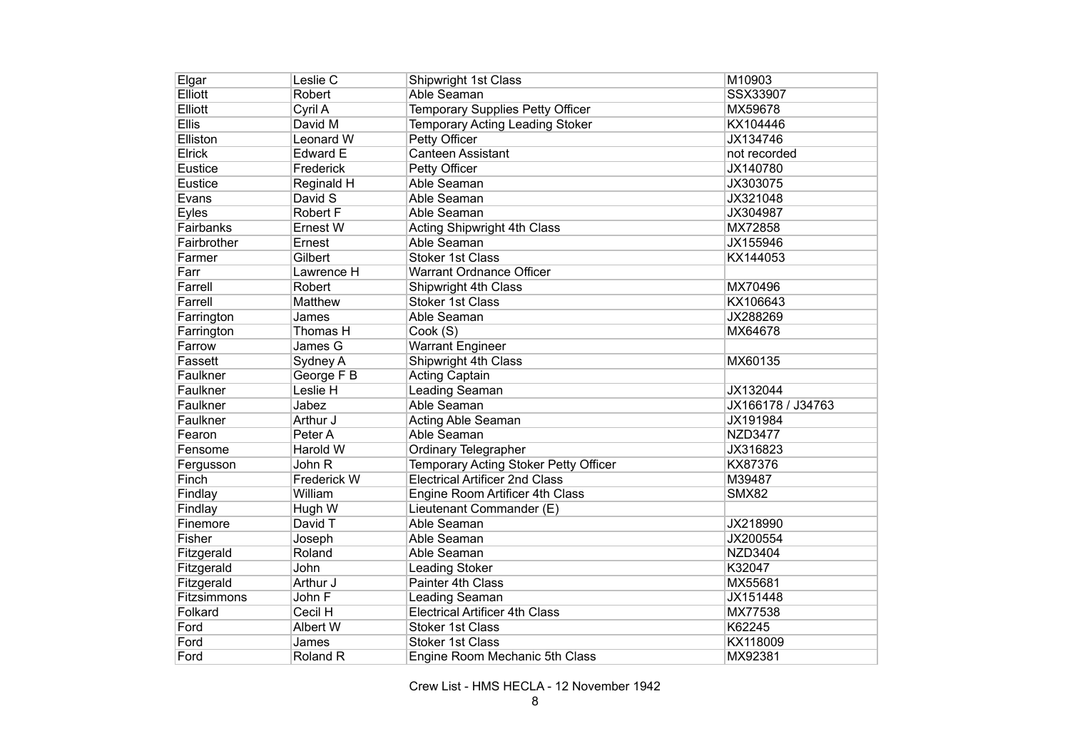| Elgar       | Leslie C        | Shipwright 1st Class                  | M10903            |
|-------------|-----------------|---------------------------------------|-------------------|
| Elliott     | Robert          | Able Seaman                           | SSX33907          |
| Elliott     | Cyril A         | Temporary Supplies Petty Officer      | MX59678           |
| Ellis       | David M         | Temporary Acting Leading Stoker       | KX104446          |
| Elliston    | Leonard W       | <b>Petty Officer</b>                  | JX134746          |
| Elrick      | Edward E        | <b>Canteen Assistant</b>              | not recorded      |
| Eustice     | Frederick       | Petty Officer                         | JX140780          |
| Eustice     | Reginald H      | Able Seaman                           | JX303075          |
| Evans       | David S         | Able Seaman                           | JX321048          |
| Eyles       | <b>Robert F</b> | Able Seaman                           | JX304987          |
| Fairbanks   | Ernest W        | Acting Shipwright 4th Class           | MX72858           |
| Fairbrother | Ernest          | Able Seaman                           | JX155946          |
| Farmer      | Gilbert         | <b>Stoker 1st Class</b>               | KX144053          |
| Farr        | Lawrence H      | Warrant Ordnance Officer              |                   |
| Farrell     | Robert          | Shipwright 4th Class                  | MX70496           |
| Farrell     | Matthew         | <b>Stoker 1st Class</b>               | KX106643          |
| Farrington  | James           | Able Seaman                           | JX288269          |
| Farrington  | Thomas H        | Cook (S)                              | MX64678           |
| Farrow      | James G         | <b>Warrant Engineer</b>               |                   |
| Fassett     | Sydney A        | Shipwright 4th Class                  | MX60135           |
| Faulkner    | George F B      | <b>Acting Captain</b>                 |                   |
| Faulkner    | Leslie H        | Leading Seaman                        | JX132044          |
| Faulkner    | Jabez           | Able Seaman                           | JX166178 / J34763 |
| Faulkner    | Arthur J        | Acting Able Seaman                    | JX191984          |
| Fearon      | Peter A         | Able Seaman                           | <b>NZD3477</b>    |
| Fensome     | Harold W        | Ordinary Telegrapher                  | JX316823          |
| Fergusson   | John R          | Temporary Acting Stoker Petty Officer | KX87376           |
| Finch       | Frederick W     | <b>Electrical Artificer 2nd Class</b> | M39487            |
| Findlay     | William         | Engine Room Artificer 4th Class       | <b>SMX82</b>      |
| Findlay     | Hugh W          | Lieutenant Commander (E)              |                   |
| Finemore    | David T         | Able Seaman                           | JX218990          |
| Fisher      | Joseph          | Able Seaman                           | JX200554          |
| Fitzgerald  | Roland          | Able Seaman                           | <b>NZD3404</b>    |
| Fitzgerald  | John            | <b>Leading Stoker</b>                 | K32047            |
| Fitzgerald  | Arthur J        | Painter 4th Class                     | MX55681           |
| Fitzsimmons | John F          | Leading Seaman                        | JX151448          |
| Folkard     | Cecil H         | <b>Electrical Artificer 4th Class</b> | MX77538           |
| Ford        | Albert W        | Stoker 1st Class                      | K62245            |
| Ford        | James           | <b>Stoker 1st Class</b>               | KX118009          |
| Ford        | Roland R        | Engine Room Mechanic 5th Class        | MX92381           |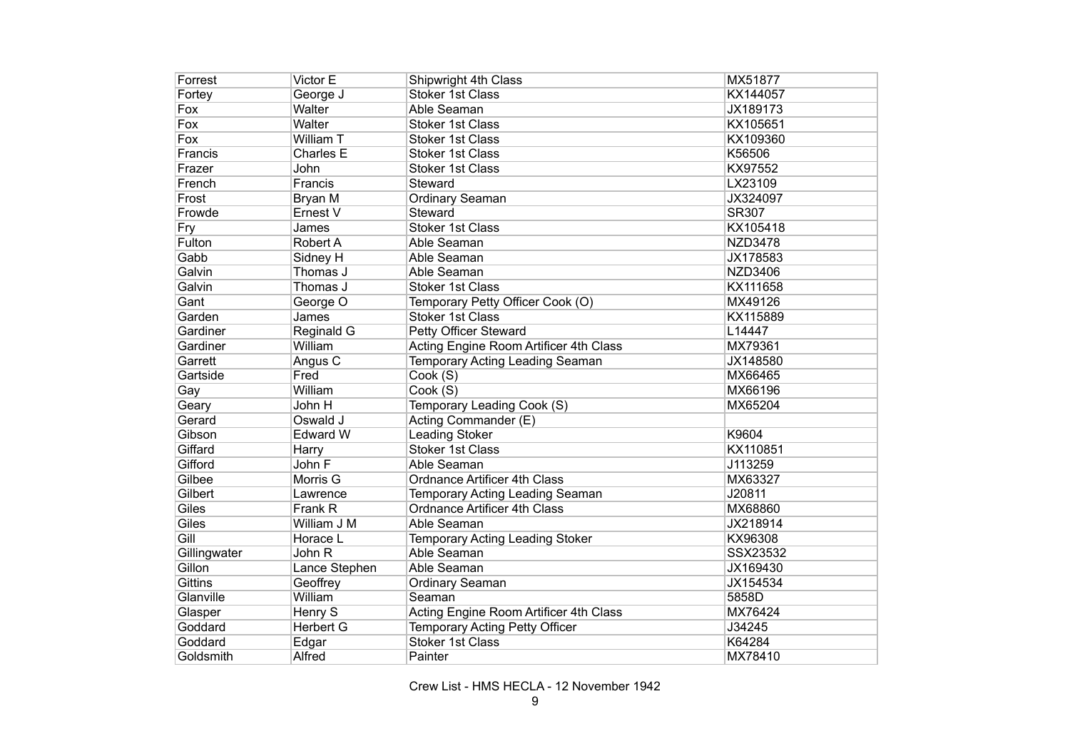| Forrest        | Victor E         | Shipwright 4th Class                   | MX51877        |
|----------------|------------------|----------------------------------------|----------------|
| Fortey         | George J         | <b>Stoker 1st Class</b>                | KX144057       |
| Fox            | Walter           | Able Seaman                            | JX189173       |
| Fox            | Walter           | <b>Stoker 1st Class</b>                | KX105651       |
| Fox            | William T        | <b>Stoker 1st Class</b>                | KX109360       |
| Francis        | <b>Charles E</b> | <b>Stoker 1st Class</b>                | K56506         |
| Frazer         | John             | <b>Stoker 1st Class</b>                | KX97552        |
| French         | Francis          | Steward                                | LX23109        |
| Frost          | Bryan M          | Ordinary Seaman                        | JX324097       |
| Frowde         | Ernest V         | Steward                                | <b>SR307</b>   |
| Fry            | James            | <b>Stoker 1st Class</b>                | KX105418       |
| Fulton         | <b>Robert A</b>  | Able Seaman                            | <b>NZD3478</b> |
| Gabb           | Sidney H         | Able Seaman                            | JX178583       |
| Galvin         | Thomas J         | Able Seaman                            | <b>NZD3406</b> |
| Galvin         | Thomas J         | <b>Stoker 1st Class</b>                | KX111658       |
| Gant           | George O         | Temporary Petty Officer Cook (O)       | MX49126        |
| Garden         | James            | <b>Stoker 1st Class</b>                | KX115889       |
| Gardiner       | Reginald G       | Petty Officer Steward                  | L14447         |
| Gardiner       | William          | Acting Engine Room Artificer 4th Class | MX79361        |
| Garrett        | Angus C          | <b>Temporary Acting Leading Seaman</b> | JX148580       |
| Gartside       | Fred             | Cook (S)                               | MX66465        |
| Gay            | William          | Cook (S)                               | MX66196        |
| Geary          | John H           | Temporary Leading Cook (S)             | MX65204        |
| Gerard         | Oswald J         | Acting Commander (E)                   |                |
| Gibson         | <b>Edward W</b>  | Leading Stoker                         | K9604          |
| Giffard        | Harry            | <b>Stoker 1st Class</b>                | KX110851       |
| Gifford        | John F           | Able Seaman                            | J113259        |
| Gilbee         | Morris G         | <b>Ordnance Artificer 4th Class</b>    | MX63327        |
| Gilbert        | Lawrence         | Temporary Acting Leading Seaman        | J20811         |
| Giles          | Frank R          | <b>Ordnance Artificer 4th Class</b>    | MX68860        |
| Giles          | William J M      | Able Seaman                            | JX218914       |
| Gill           | Horace L         | <b>Temporary Acting Leading Stoker</b> | KX96308        |
| Gillingwater   | John R           | Able Seaman                            | SSX23532       |
| Gillon         | Lance Stephen    | Able Seaman                            | JX169430       |
| <b>Gittins</b> | Geoffrey         | <b>Ordinary Seaman</b>                 | JX154534       |
| Glanville      | William          | Seaman                                 | 5858D          |
| Glasper        | Henry S          | Acting Engine Room Artificer 4th Class | MX76424        |
| Goddard        | <b>Herbert G</b> | Temporary Acting Petty Officer         | J34245         |
| Goddard        | Edgar            | <b>Stoker 1st Class</b>                | K64284         |
| Goldsmith      | Alfred           | Painter                                | MX78410        |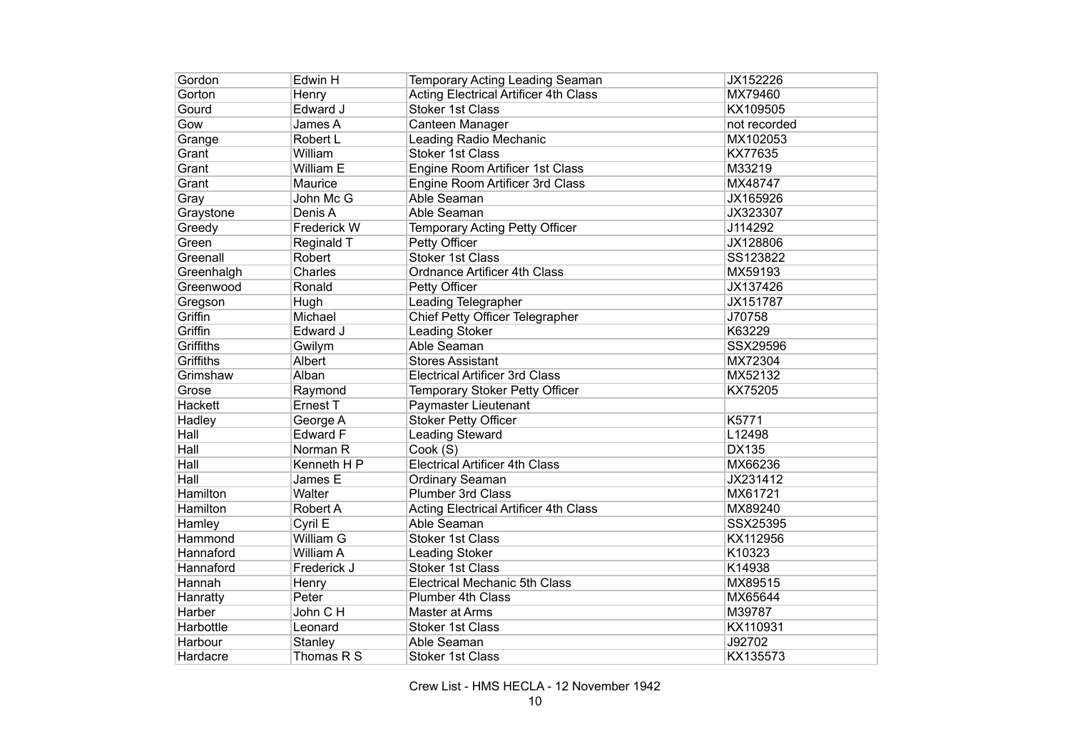| Gordon           | Edwin H          | Temporary Acting Leading Seaman              | JX152226     |
|------------------|------------------|----------------------------------------------|--------------|
| Gorton           | Henry            | <b>Acting Electrical Artificer 4th Class</b> | MX79460      |
| Gourd            | Edward J         | <b>Stoker 1st Class</b>                      | KX109505     |
| Gow              | James A          | Canteen Manager                              | not recorded |
| Grange           | Robert L         | <b>Leading Radio Mechanic</b>                | MX102053     |
| Grant            | William          | <b>Stoker 1st Class</b>                      | KX77635      |
| Grant            | William E        | Engine Room Artificer 1st Class              | M33219       |
| Grant            | Maurice          | Engine Room Artificer 3rd Class              | MX48747      |
| Gray             | John Mc G        | Able Seaman                                  | JX165926     |
| Graystone        | Denis A          | Able Seaman                                  | JX323307     |
| Greedy           | Frederick W      | Temporary Acting Petty Officer               | J114292      |
| Green            | Reginald T       | Petty Officer                                | JX128806     |
| Greenall         | Robert           | <b>Stoker 1st Class</b>                      | SS123822     |
| Greenhalgh       | Charles          | <b>Ordnance Artificer 4th Class</b>          | MX59193      |
| Greenwood        | Ronald           | Petty Officer                                | JX137426     |
| Gregson          | Hugh             | Leading Telegrapher                          | JX151787     |
| Griffin          | Michael          | Chief Petty Officer Telegrapher              | J70758       |
| Griffin          | Edward J         | <b>Leading Stoker</b>                        | K63229       |
| <b>Griffiths</b> | Gwilym           | Able Seaman                                  | SSX29596     |
| Griffiths        | Albert           | <b>Stores Assistant</b>                      | MX72304      |
| Grimshaw         | Alban            | <b>Electrical Artificer 3rd Class</b>        | MX52132      |
| Grose            | Raymond          | Temporary Stoker Petty Officer               | KX75205      |
| Hackett          | Ernest T         | Paymaster Lieutenant                         |              |
| Hadley           | George A         | <b>Stoker Petty Officer</b>                  | K5771        |
| $H$ all          | <b>Edward F</b>  | <b>Leading Steward</b>                       | L12498       |
| Hall             | Norman R         | Cook (S)                                     | <b>DX135</b> |
| Hall             | Kenneth H P      | <b>Electrical Artificer 4th Class</b>        | MX66236      |
| Hall             | James E          | Ordinary Seaman                              | JX231412     |
| <b>Hamilton</b>  | Walter           | <b>Plumber 3rd Class</b>                     | MX61721      |
| <b>Hamilton</b>  | <b>Robert A</b>  | <b>Acting Electrical Artificer 4th Class</b> | MX89240      |
| Hamley           | Cyril E          | Able Seaman                                  | SSX25395     |
| Hammond          | William G        | <b>Stoker 1st Class</b>                      | KX112956     |
| Hannaford        | <b>William A</b> | Leading Stoker                               | K10323       |
| Hannaford        | Frederick J      | <b>Stoker 1st Class</b>                      | K14938       |
| Hannah           | Henry            | <b>Electrical Mechanic 5th Class</b>         | MX89515      |
| Hanratty         | Peter            | <b>Plumber 4th Class</b>                     | MX65644      |
| Harber           | John C H         | Master at Arms                               | M39787       |
| Harbottle        | Leonard          | <b>Stoker 1st Class</b>                      | KX110931     |
| Harbour          | Stanley          | Able Seaman                                  | J92702       |
| Hardacre         | Thomas R S       | <b>Stoker 1st Class</b>                      | KX135573     |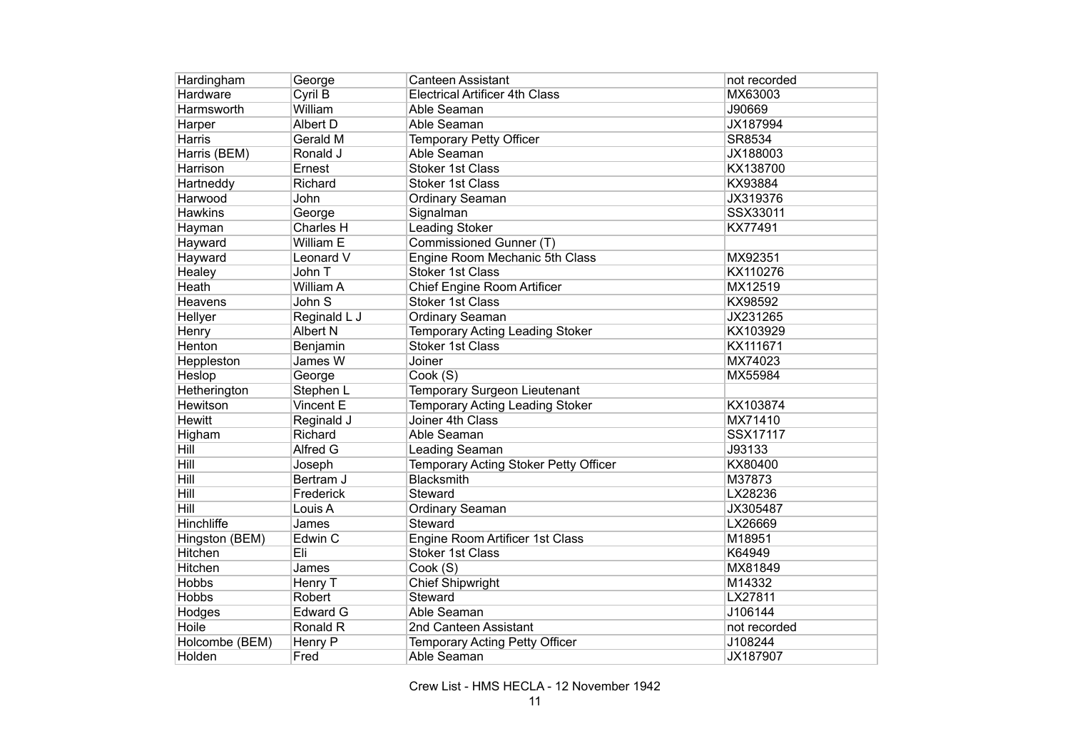| Hardingham        | George           | <b>Canteen Assistant</b>               | not recorded |
|-------------------|------------------|----------------------------------------|--------------|
| Hardware          | Cyril B          | <b>Electrical Artificer 4th Class</b>  | MX63003      |
| Harmsworth        | William          | Able Seaman                            | J90669       |
| Harper            | Albert D         | Able Seaman                            | JX187994     |
| <b>Harris</b>     | Gerald M         | <b>Temporary Petty Officer</b>         | SR8534       |
| Harris (BEM)      | Ronald J         | Able Seaman                            | JX188003     |
| <b>Harrison</b>   | Ernest           | <b>Stoker 1st Class</b>                | KX138700     |
| Hartneddy         | Richard          | <b>Stoker 1st Class</b>                | KX93884      |
| Harwood           | John             | Ordinary Seaman                        | JX319376     |
| <b>Hawkins</b>    | George           | Signalman                              | SSX33011     |
| Hayman            | Charles H        | <b>Leading Stoker</b>                  | KX77491      |
| Hayward           | William E        | Commissioned Gunner (T)                |              |
| Hayward           | Leonard V        | Engine Room Mechanic 5th Class         | MX92351      |
| Healey            | John T           | <b>Stoker 1st Class</b>                | KX110276     |
| Heath             | <b>William A</b> | Chief Engine Room Artificer            | MX12519      |
| <b>Heavens</b>    | John S           | <b>Stoker 1st Class</b>                | KX98592      |
| Hellyer           | Reginald L J     | Ordinary Seaman                        | JX231265     |
| Henry             | Albert N         | <b>Temporary Acting Leading Stoker</b> | KX103929     |
| Henton            | Benjamin         | <b>Stoker 1st Class</b>                | KX111671     |
| Heppleston        | James W          | Joiner                                 | MX74023      |
| Heslop            | George           | Cook (S)                               | MX55984      |
| Hetherington      | Stephen L        | <b>Temporary Surgeon Lieutenant</b>    |              |
| Hewitson          | Vincent E        | <b>Temporary Acting Leading Stoker</b> | KX103874     |
| <b>Hewitt</b>     | Reginald J       | Joiner 4th Class                       | MX71410      |
| Higham            | Richard          | Able Seaman                            | SSX17117     |
| Hill              | Alfred G         | Leading Seaman                         | J93133       |
| Hill              | Joseph           | Temporary Acting Stoker Petty Officer  | KX80400      |
| Hill              | Bertram J        | <b>Blacksmith</b>                      | M37873       |
| <b>Hill</b>       | Frederick        | Steward                                | LX28236      |
| Hill              | Louis A          | Ordinary Seaman                        | JX305487     |
| <b>Hinchliffe</b> | James            | Steward                                | LX26669      |
| Hingston (BEM)    | Edwin C          | Engine Room Artificer 1st Class        | M18951       |
| Hitchen           | Eli              | <b>Stoker 1st Class</b>                | K64949       |
| Hitchen           | James            | Cook (S)                               | MX81849      |
| <b>Hobbs</b>      | Henry T          | <b>Chief Shipwright</b>                | M14332       |
| <b>Hobbs</b>      | Robert           | Steward                                | LX27811      |
| Hodges            | <b>Edward G</b>  | Able Seaman                            | J106144      |
| Hoile             | Ronald R         | 2nd Canteen Assistant                  | not recorded |
| Holcombe (BEM)    | Henry P          | Temporary Acting Petty Officer         | J108244      |
| Holden            | Fred             | Able Seaman                            | JX187907     |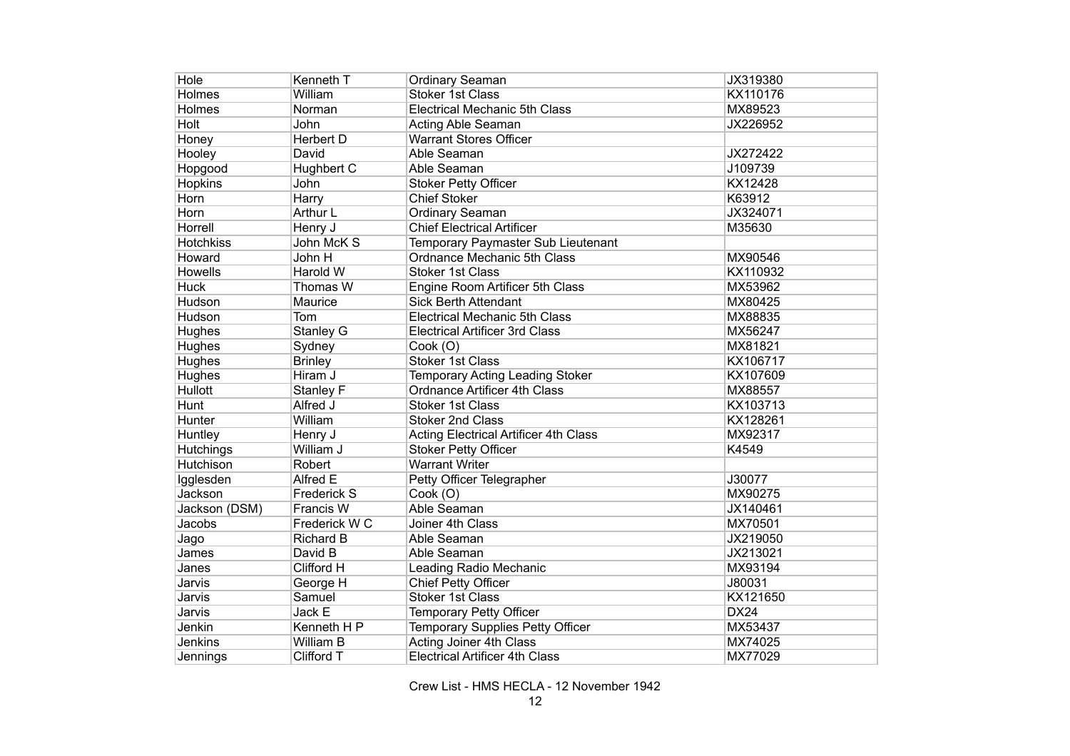| Hole             | Kenneth T          | Ordinary Seaman                              | JX319380    |
|------------------|--------------------|----------------------------------------------|-------------|
| Holmes           | William            | <b>Stoker 1st Class</b>                      | KX110176    |
| <b>Holmes</b>    | Norman             | <b>Electrical Mechanic 5th Class</b>         | MX89523     |
| <b>Holt</b>      | John               | <b>Acting Able Seaman</b>                    | JX226952    |
| Honey            | Herbert D          | <b>Warrant Stores Officer</b>                |             |
| Hooley           | David              | Able Seaman                                  | JX272422    |
| Hopgood          | <b>Hughbert C</b>  | Able Seaman                                  | J109739     |
| <b>Hopkins</b>   | John               | <b>Stoker Petty Officer</b>                  | KX12428     |
| Horn             | Harry              | <b>Chief Stoker</b>                          | K63912      |
| Horn             | Arthur L           | <b>Ordinary Seaman</b>                       | JX324071    |
| Horrell          | Henry J            | <b>Chief Electrical Artificer</b>            | M35630      |
| Hotchkiss        | John McK S         | Temporary Paymaster Sub Lieutenant           |             |
| Howard           | John H             | Ordnance Mechanic 5th Class                  | MX90546     |
| Howells          | Harold W           | <b>Stoker 1st Class</b>                      | KX110932    |
| <b>Huck</b>      | Thomas W           | Engine Room Artificer 5th Class              | MX53962     |
| Hudson           | Maurice            | <b>Sick Berth Attendant</b>                  | MX80425     |
| Hudson           | Tom                | <b>Electrical Mechanic 5th Class</b>         | MX88835     |
| Hughes           | <b>Stanley G</b>   | <b>Electrical Artificer 3rd Class</b>        | MX56247     |
| Hughes           | Sydney             | Cook (O)                                     | MX81821     |
| Hughes           | <b>Brinley</b>     | <b>Stoker 1st Class</b>                      | KX106717    |
| Hughes           | Hiram J            | <b>Temporary Acting Leading Stoker</b>       | KX107609    |
| Hullott          | Stanley F          | <b>Ordnance Artificer 4th Class</b>          | MX88557     |
| Hunt             | Alfred J           | <b>Stoker 1st Class</b>                      | KX103713    |
| Hunter           | William            | <b>Stoker 2nd Class</b>                      | KX128261    |
| Huntley          | Henry J            | <b>Acting Electrical Artificer 4th Class</b> | MX92317     |
| <b>Hutchings</b> | William J          | <b>Stoker Petty Officer</b>                  | K4549       |
| Hutchison        | Robert             | <b>Warrant Writer</b>                        |             |
| Igglesden        | Alfred E           | Petty Officer Telegrapher                    | J30077      |
| Jackson          | <b>Frederick S</b> | Cook (O)                                     | MX90275     |
| Jackson (DSM)    | Francis W          | Able Seaman                                  | JX140461    |
| Jacobs           | Frederick W C      | Joiner 4th Class                             | MX70501     |
| Jago             | <b>Richard B</b>   | Able Seaman                                  | JX219050    |
| James            | David B            | Able Seaman                                  | JX213021    |
| Janes            | Clifford H         | Leading Radio Mechanic                       | MX93194     |
| Jarvis           | George H           | <b>Chief Petty Officer</b>                   | J80031      |
| Jarvis           | Samuel             | <b>Stoker 1st Class</b>                      | KX121650    |
| Jarvis           | Jack E             | Temporary Petty Officer                      | <b>DX24</b> |
| Jenkin           | Kenneth H P        | Temporary Supplies Petty Officer             | MX53437     |
| Jenkins          | William B          | Acting Joiner 4th Class                      | MX74025     |
| Jennings         | Clifford T         | <b>Electrical Artificer 4th Class</b>        | MX77029     |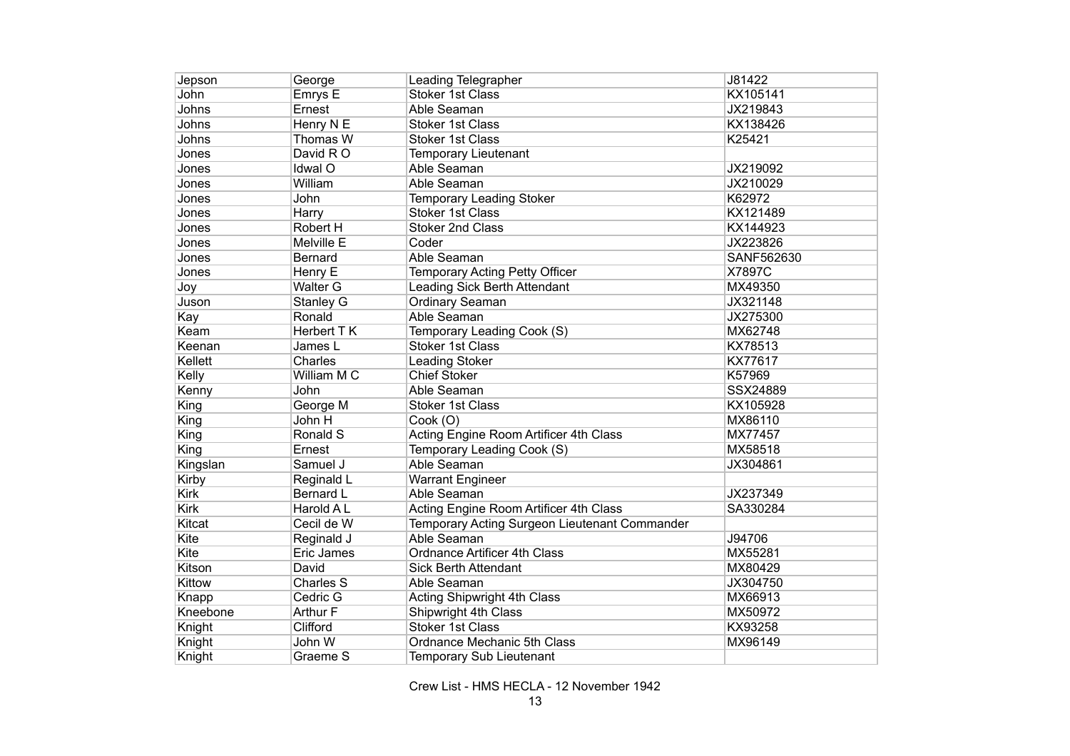| Jepson        | George           | Leading Telegrapher                           | J81422     |
|---------------|------------------|-----------------------------------------------|------------|
| John          | Emrys E          | <b>Stoker 1st Class</b>                       | KX105141   |
| Johns         | Ernest           | Able Seaman                                   | JX219843   |
| Johns         | Henry N E        | <b>Stoker 1st Class</b>                       | KX138426   |
| Johns         | Thomas W         | <b>Stoker 1st Class</b>                       | K25421     |
| Jones         | David R O        | <b>Temporary Lieutenant</b>                   |            |
| Jones         | Idwal O          | Able Seaman                                   | JX219092   |
| Jones         | William          | Able Seaman                                   | JX210029   |
| Jones         | John             | Temporary Leading Stoker                      | K62972     |
| Jones         | Harry            | <b>Stoker 1st Class</b>                       | KX121489   |
| Jones         | Robert H         | <b>Stoker 2nd Class</b>                       | KX144923   |
| Jones         | Melville E       | Coder                                         | JX223826   |
| Jones         | <b>Bernard</b>   | Able Seaman                                   | SANF562630 |
| Jones         | Henry E          | Temporary Acting Petty Officer                | X7897C     |
| Joy           | <b>Walter G</b>  | Leading Sick Berth Attendant                  | MX49350    |
| Juson         | Stanley G        | Ordinary Seaman                               | JX321148   |
| Kay           | Ronald           | Able Seaman                                   | JX275300   |
| Keam          | Herbert TK       | Temporary Leading Cook (S)                    | MX62748    |
| Keenan        | James L          | Stoker 1st Class                              | KX78513    |
| Kellett       | Charles          | Leading Stoker                                | KX77617    |
| Kelly         | William M C      | <b>Chief Stoker</b>                           | K57969     |
| Kenny         | John             | Able Seaman                                   | SSX24889   |
| King          | George M         | Stoker 1st Class                              | KX105928   |
| King          | John H           | Cook (O)                                      | MX86110    |
| King          | Ronald S         | Acting Engine Room Artificer 4th Class        | MX77457    |
| King          | Ernest           | Temporary Leading Cook (S)                    | MX58518    |
| Kingslan      | Samuel J         | Able Seaman                                   | JX304861   |
| Kirby         | Reginald L       | <b>Warrant Engineer</b>                       |            |
| <b>Kirk</b>   | <b>Bernard L</b> | Able Seaman                                   | JX237349   |
| <b>Kirk</b>   | Harold A L       | Acting Engine Room Artificer 4th Class        | SA330284   |
| <b>Kitcat</b> | Cecil de W       | Temporary Acting Surgeon Lieutenant Commander |            |
| Kite          | Reginald J       | Able Seaman                                   | J94706     |
| Kite          | Eric James       | <b>Ordnance Artificer 4th Class</b>           | MX55281    |
| Kitson        | David            | <b>Sick Berth Attendant</b>                   | MX80429    |
| Kittow        | Charles S        | Able Seaman                                   | JX304750   |
| Knapp         | Cedric G         | <b>Acting Shipwright 4th Class</b>            | MX66913    |
| Kneebone      | Arthur F         | Shipwright 4th Class                          | MX50972    |
| Knight        | Clifford         | <b>Stoker 1st Class</b>                       | KX93258    |
| Knight        | John W           | Ordnance Mechanic 5th Class                   | MX96149    |
| Knight        | Graeme S         | <b>Temporary Sub Lieutenant</b>               |            |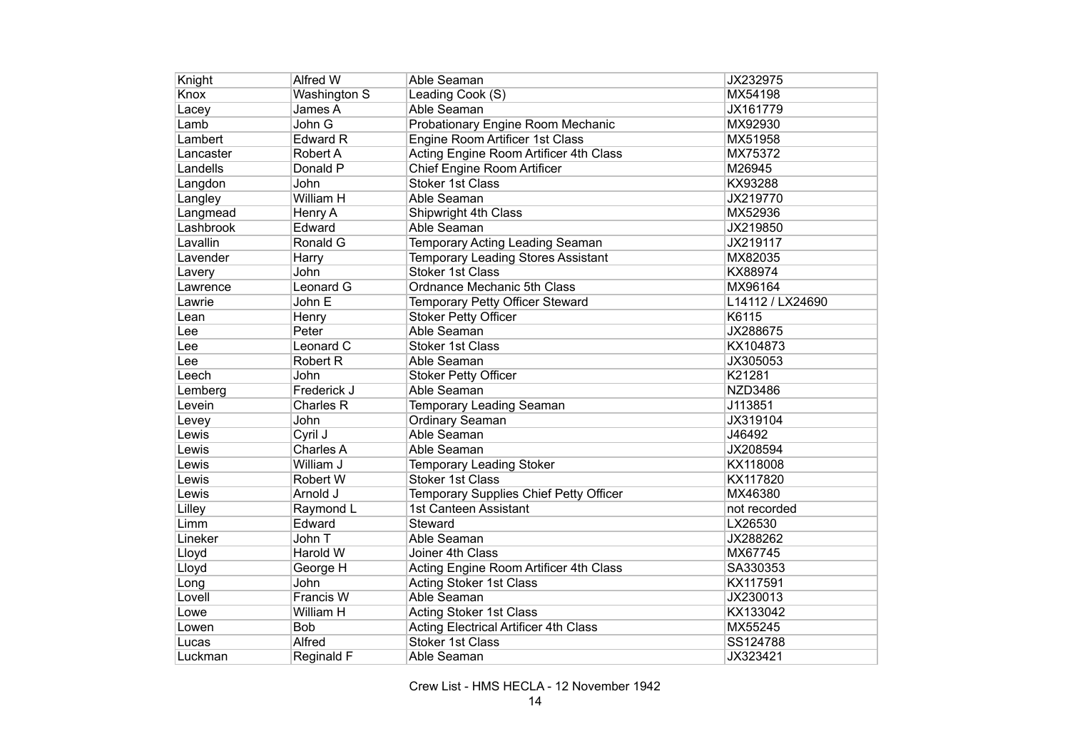| Knight    | Alfred W        | Able Seaman                                  | JX232975         |
|-----------|-----------------|----------------------------------------------|------------------|
| Knox      | Washington S    | Leading Cook (S)                             | MX54198          |
| Lacey     | James A         | Able Seaman                                  | JX161779         |
| Lamb      | John G          | Probationary Engine Room Mechanic            | MX92930          |
| Lambert   | <b>Edward R</b> | Engine Room Artificer 1st Class              | MX51958          |
| Lancaster | Robert A        | Acting Engine Room Artificer 4th Class       | MX75372          |
| Landells  | Donald P        | <b>Chief Engine Room Artificer</b>           | M26945           |
| Langdon   | John            | <b>Stoker 1st Class</b>                      | KX93288          |
| Langley   | William H       | Able Seaman                                  | JX219770         |
| Langmead  | Henry A         | Shipwright 4th Class                         | MX52936          |
| Lashbrook | Edward          | Able Seaman                                  | JX219850         |
| Lavallin  | Ronald G        | Temporary Acting Leading Seaman              | JX219117         |
| Lavender  | Harry           | <b>Temporary Leading Stores Assistant</b>    | MX82035          |
| Lavery    | John            | <b>Stoker 1st Class</b>                      | KX88974          |
| Lawrence  | Leonard G       | Ordnance Mechanic 5th Class                  | MX96164          |
| Lawrie    | John E          | Temporary Petty Officer Steward              | L14112 / LX24690 |
| Lean      | Henry           | <b>Stoker Petty Officer</b>                  | K6115            |
| Lee       | Peter           | Able Seaman                                  | JX288675         |
| Lee       | Leonard C       | <b>Stoker 1st Class</b>                      | KX104873         |
| Lee       | <b>Robert R</b> | Able Seaman                                  | JX305053         |
| Leech     | John            | <b>Stoker Petty Officer</b>                  | K21281           |
| Lemberg   | Frederick J     | Able Seaman                                  | <b>NZD3486</b>   |
| Levein    | Charles R       | Temporary Leading Seaman                     | J113851          |
| Levey     | John            | <b>Ordinary Seaman</b>                       | JX319104         |
| Lewis     | Cyril J         | Able Seaman                                  | J46492           |
| Lewis     | Charles A       | Able Seaman                                  | JX208594         |
| Lewis     | William J       | <b>Temporary Leading Stoker</b>              | KX118008         |
| Lewis     | Robert W        | <b>Stoker 1st Class</b>                      | KX117820         |
| Lewis     | Arnold J        | Temporary Supplies Chief Petty Officer       | MX46380          |
| Lilley    | Raymond L       | 1st Canteen Assistant                        | not recorded     |
| Limm      | Edward          | Steward                                      | LX26530          |
| Lineker   | John T          | Able Seaman                                  | JX288262         |
| Lloyd     | Harold W        | Joiner 4th Class                             | MX67745          |
| Lloyd     | George H        | Acting Engine Room Artificer 4th Class       | SA330353         |
| Long      | John            | Acting Stoker 1st Class                      | KX117591         |
| Lovell    | Francis W       | Able Seaman                                  | JX230013         |
| Lowe      | William H       | Acting Stoker 1st Class                      | KX133042         |
| Lowen     | Bob             | <b>Acting Electrical Artificer 4th Class</b> | MX55245          |
| Lucas     | Alfred          | <b>Stoker 1st Class</b>                      | SS124788         |
| Luckman   | Reginald F      | Able Seaman                                  | JX323421         |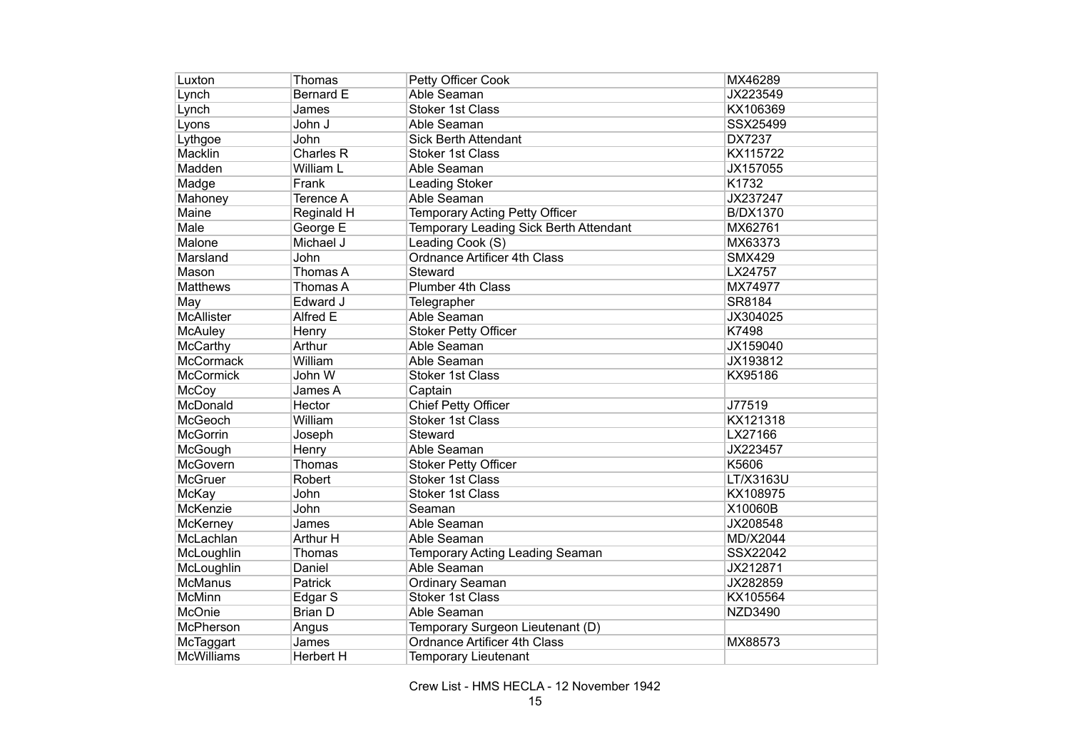| Luxton            | Thomas             | Petty Officer Cook                     | MX46289         |
|-------------------|--------------------|----------------------------------------|-----------------|
| Lynch             | Bernard E          | Able Seaman                            | JX223549        |
| Lynch             | James              | <b>Stoker 1st Class</b>                | KX106369        |
| Lyons             | John J             | Able Seaman                            | SSX25499        |
| Lythgoe           | John               | <b>Sick Berth Attendant</b>            | <b>DX7237</b>   |
| Macklin           | Charles R          | <b>Stoker 1st Class</b>                | KX115722        |
| Madden            | William L          | Able Seaman                            | JX157055        |
| Madge             | Frank              | <b>Leading Stoker</b>                  | K1732           |
| Mahoney           | Terence A          | Able Seaman                            | JX237247        |
| Maine             | Reginald H         | Temporary Acting Petty Officer         | <b>B/DX1370</b> |
| Male              | George E           | Temporary Leading Sick Berth Attendant | MX62761         |
| Malone            | Michael J          | Leading Cook (S)                       | MX63373         |
| Marsland          | John               | Ordnance Artificer 4th Class           | <b>SMX429</b>   |
| Mason             | Thomas A           | Steward                                | LX24757         |
| <b>Matthews</b>   | Thomas A           | <b>Plumber 4th Class</b>               | MX74977         |
| May               | Edward J           | Telegrapher                            | SR8184          |
| McAllister        | Alfred E           | Able Seaman                            | JX304025        |
| <b>McAuley</b>    | Henry              | <b>Stoker Petty Officer</b>            | K7498           |
| <b>McCarthy</b>   | Arthur             | Able Seaman                            | JX159040        |
| <b>McCormack</b>  | William            | Able Seaman                            | JX193812        |
| <b>McCormick</b>  | John W             | <b>Stoker 1st Class</b>                | KX95186         |
| McCoy             | James A            | Captain                                |                 |
| McDonald          | Hector             | <b>Chief Petty Officer</b>             | J77519          |
| <b>McGeoch</b>    | William            | <b>Stoker 1st Class</b>                | KX121318        |
| <b>McGorrin</b>   | Joseph             | Steward                                | LX27166         |
| McGough           | Henry              | Able Seaman                            | JX223457        |
| McGovern          | Thomas             | <b>Stoker Petty Officer</b>            | K5606           |
| <b>McGruer</b>    | Robert             | <b>Stoker 1st Class</b>                | LT/X3163U       |
| <b>McKay</b>      | John               | <b>Stoker 1st Class</b>                | KX108975        |
| <b>McKenzie</b>   | John               | Seaman                                 | X10060B         |
| McKerney          | James              | Able Seaman                            | JX208548        |
| McLachlan         | Arthur H           | Able Seaman                            | MD/X2044        |
| McLoughlin        | Thomas             | Temporary Acting Leading Seaman        | SSX22042        |
| McLoughlin        | Daniel             | Able Seaman                            | JX212871        |
| <b>McManus</b>    | Patrick            | <b>Ordinary Seaman</b>                 | JX282859        |
| <b>McMinn</b>     | Edgar <sub>S</sub> | <b>Stoker 1st Class</b>                | KX105564        |
| McOnie            | <b>Brian D</b>     | Able Seaman                            | <b>NZD3490</b>  |
| McPherson         | Angus              | Temporary Surgeon Lieutenant (D)       |                 |
| McTaggart         | James              | Ordnance Artificer 4th Class           | MX88573         |
| <b>McWilliams</b> | <b>Herbert H</b>   | <b>Temporary Lieutenant</b>            |                 |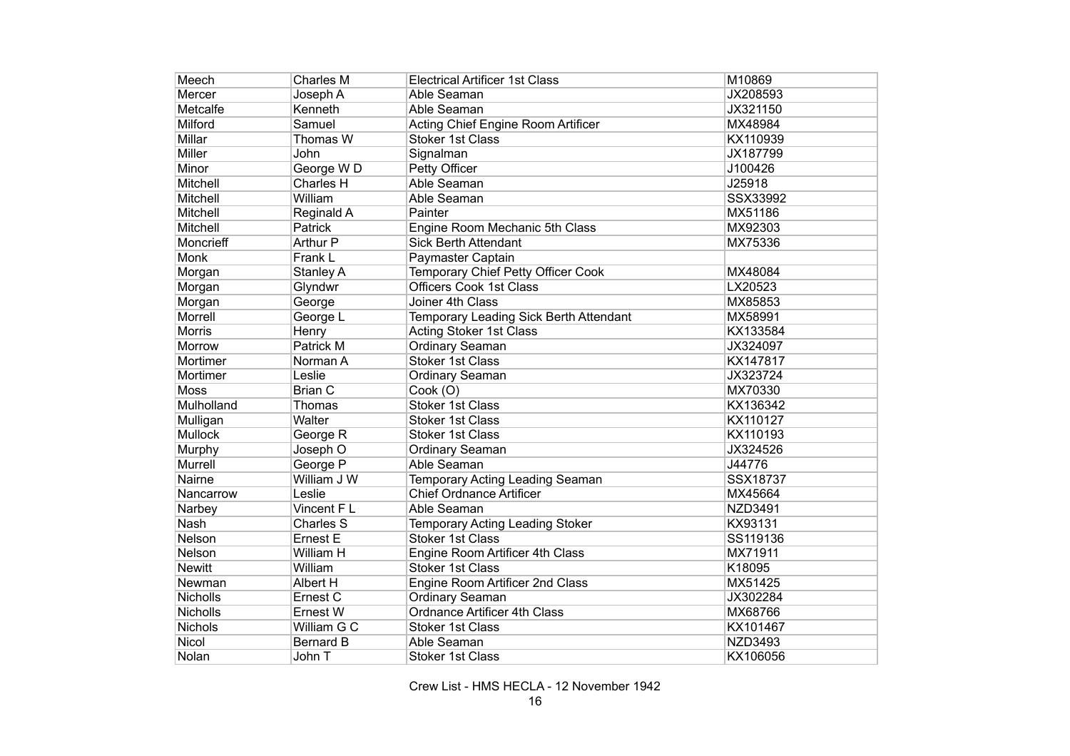| Meech          | Charles M        | <b>Electrical Artificer 1st Class</b>     | M10869         |
|----------------|------------------|-------------------------------------------|----------------|
| Mercer         | Joseph A         | Able Seaman                               | JX208593       |
| Metcalfe       | Kenneth          | Able Seaman                               | JX321150       |
| Milford        | Samuel           | Acting Chief Engine Room Artificer        | MX48984        |
| Millar         | Thomas W         | <b>Stoker 1st Class</b>                   | KX110939       |
| <b>Miller</b>  | John             | Signalman                                 | JX187799       |
| Minor          | George WD        | Petty Officer                             | J100426        |
| Mitchell       | <b>Charles H</b> | Able Seaman                               | J25918         |
| Mitchell       | William          | Able Seaman                               | SSX33992       |
| Mitchell       | Reginald A       | Painter                                   | MX51186        |
| Mitchell       | Patrick          | Engine Room Mechanic 5th Class            | MX92303        |
| Moncrieff      | <b>Arthur P</b>  | <b>Sick Berth Attendant</b>               | MX75336        |
| Monk           | Frank L          | Paymaster Captain                         |                |
| Morgan         | Stanley A        | <b>Temporary Chief Petty Officer Cook</b> | MX48084        |
| Morgan         | Glyndwr          | <b>Officers Cook 1st Class</b>            | LX20523        |
| Morgan         | George           | Joiner 4th Class                          | MX85853        |
| Morrell        | George L         | Temporary Leading Sick Berth Attendant    | MX58991        |
| <b>Morris</b>  | Henry            | <b>Acting Stoker 1st Class</b>            | KX133584       |
| Morrow         | Patrick M        | <b>Ordinary Seaman</b>                    | JX324097       |
| Mortimer       | Norman A         | <b>Stoker 1st Class</b>                   | KX147817       |
| Mortimer       | Leslie           | Ordinary Seaman                           | JX323724       |
| Moss           | <b>Brian C</b>   | Cook (O)                                  | MX70330        |
| Mulholland     | Thomas           | <b>Stoker 1st Class</b>                   | KX136342       |
| Mulligan       | Walter           | <b>Stoker 1st Class</b>                   | KX110127       |
| <b>Mullock</b> | George R         | <b>Stoker 1st Class</b>                   | KX110193       |
| Murphy         | Joseph O         | <b>Ordinary Seaman</b>                    | JX324526       |
| <b>Murrell</b> | George P         | Able Seaman                               | J44776         |
| Nairne         | William J W      | Temporary Acting Leading Seaman           | SSX18737       |
| Nancarrow      | Leslie           | <b>Chief Ordnance Artificer</b>           | MX45664        |
| Narbey         | Vincent F L      | Able Seaman                               | <b>NZD3491</b> |
| Nash           | <b>Charles S</b> | Temporary Acting Leading Stoker           | KX93131        |
| Nelson         | Ernest E         | <b>Stoker 1st Class</b>                   | SS119136       |
| Nelson         | William H        | Engine Room Artificer 4th Class           | MX71911        |
| <b>Newitt</b>  | William          | <b>Stoker 1st Class</b>                   | K18095         |
| Newman         | Albert H         | Engine Room Artificer 2nd Class           | MX51425        |
| Nicholls       | Ernest C         | Ordinary Seaman                           | JX302284       |
| Nicholls       | Ernest W         | Ordnance Artificer 4th Class              | MX68766        |
| Nichols        | William G C      | <b>Stoker 1st Class</b>                   | KX101467       |
| Nicol          | <b>Bernard B</b> | Able Seaman                               | <b>NZD3493</b> |
| Nolan          | John T           | Stoker 1st Class                          | KX106056       |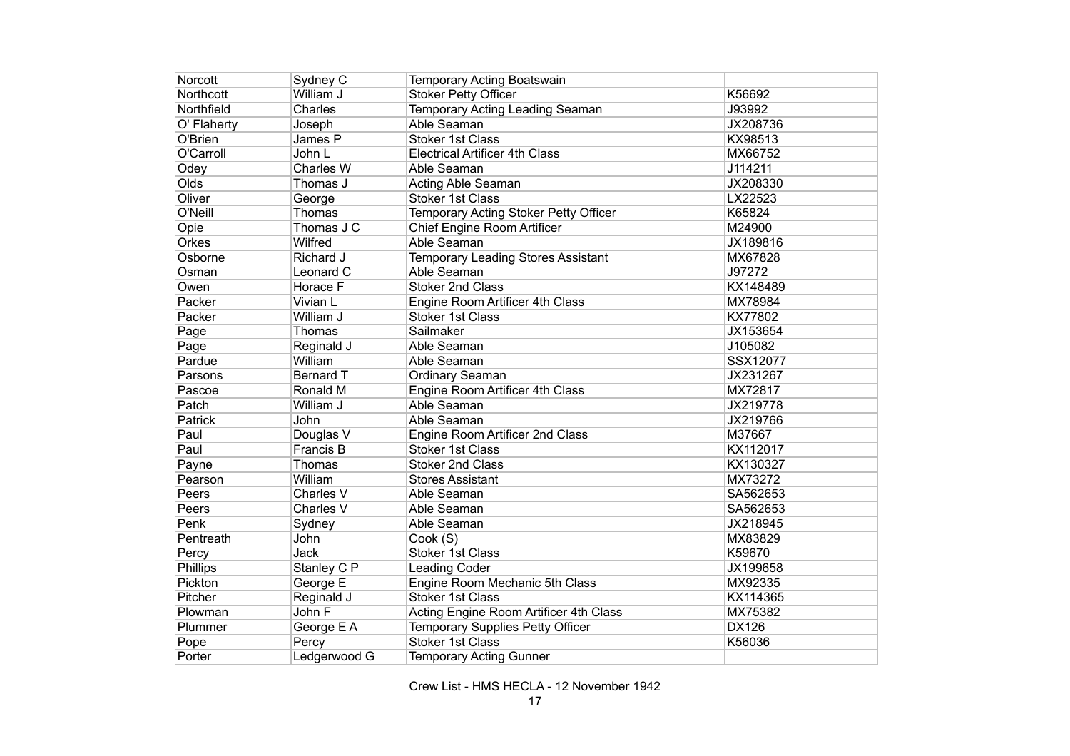| Norcott         | Sydney C         | Temporary Acting Boatswain                |              |
|-----------------|------------------|-------------------------------------------|--------------|
| Northcott       | William J        | <b>Stoker Petty Officer</b>               | K56692       |
| Northfield      | Charles          | Temporary Acting Leading Seaman           | J93992       |
| O' Flaherty     | Joseph           | Able Seaman                               | JX208736     |
| O'Brien         | James P          | <b>Stoker 1st Class</b>                   | KX98513      |
| O'Carroll       | John L           | <b>Electrical Artificer 4th Class</b>     | MX66752      |
| Odey            | Charles W        | Able Seaman                               | J114211      |
| Olds            | Thomas J         | Acting Able Seaman                        | JX208330     |
| Oliver          | George           | <b>Stoker 1st Class</b>                   | LX22523      |
| O'Neill         | Thomas           | Temporary Acting Stoker Petty Officer     | K65824       |
| Opie            | Thomas J C       | Chief Engine Room Artificer               | M24900       |
| Orkes           | Wilfred          | Able Seaman                               | JX189816     |
| Osborne         | Richard J        | <b>Temporary Leading Stores Assistant</b> | MX67828      |
| Osman           | Leonard C        | Able Seaman                               | J97272       |
| Owen            | Horace F         | <b>Stoker 2nd Class</b>                   | KX148489     |
| Packer          | Vivian L         | Engine Room Artificer 4th Class           | MX78984      |
| Packer          | William J        | Stoker 1st Class                          | KX77802      |
| Page            | Thomas           | Sailmaker                                 | JX153654     |
| Page            | Reginald J       | Able Seaman                               | J105082      |
| Pardue          | William          | Able Seaman                               | SSX12077     |
| Parsons         | <b>Bernard T</b> | Ordinary Seaman                           | JX231267     |
| Pascoe          | Ronald M         | Engine Room Artificer 4th Class           | MX72817      |
| Patch           | William J        | Able Seaman                               | JX219778     |
| Patrick         | John             | Able Seaman                               | JX219766     |
| Paul            | Douglas V        | Engine Room Artificer 2nd Class           | M37667       |
| Paul            | Francis B        | <b>Stoker 1st Class</b>                   | KX112017     |
| Payne           | Thomas           | Stoker 2nd Class                          | KX130327     |
| Pearson         | William          | <b>Stores Assistant</b>                   | MX73272      |
| Peers           | Charles V        | Able Seaman                               | SA562653     |
| Peers           | Charles V        | Able Seaman                               | SA562653     |
| Penk            | Sydney           | Able Seaman                               | JX218945     |
| Pentreath       | John             | Cook (S)                                  | MX83829      |
| Percy           | <b>Jack</b>      | <b>Stoker 1st Class</b>                   | K59670       |
| <b>Phillips</b> | Stanley C P      | <b>Leading Coder</b>                      | JX199658     |
| Pickton         | George E         | Engine Room Mechanic 5th Class            | MX92335      |
| Pitcher         | Reginald J       | <b>Stoker 1st Class</b>                   | KX114365     |
| Plowman         | John F           | Acting Engine Room Artificer 4th Class    | MX75382      |
| Plummer         | George E A       | Temporary Supplies Petty Officer          | <b>DX126</b> |
| Pope            | Percy            | <b>Stoker 1st Class</b>                   | K56036       |
| Porter          | Ledgerwood G     | <b>Temporary Acting Gunner</b>            |              |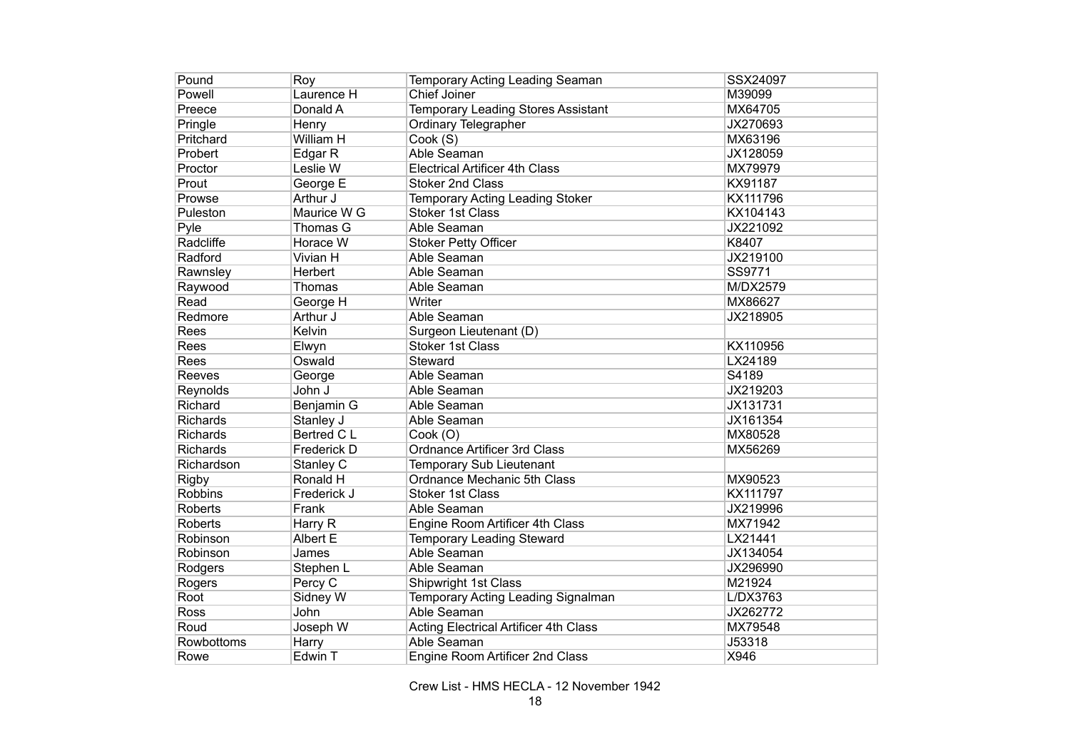| Pound           | Roy               | Temporary Acting Leading Seaman              | SSX24097 |
|-----------------|-------------------|----------------------------------------------|----------|
| Powell          | Laurence H        | Chief Joiner                                 | M39099   |
| Preece          | Donald A          | <b>Temporary Leading Stores Assistant</b>    | MX64705  |
| Pringle         | Henry             | <b>Ordinary Telegrapher</b>                  | JX270693 |
| Pritchard       | William H         | Cook (S)                                     | MX63196  |
| Probert         | Edgar R           | Able Seaman                                  | JX128059 |
| Proctor         | Leslie W          | <b>Electrical Artificer 4th Class</b>        | MX79979  |
| Prout           | George E          | <b>Stoker 2nd Class</b>                      | KX91187  |
| Prowse          | Arthur J          | <b>Temporary Acting Leading Stoker</b>       | KX111796 |
| Puleston        | Maurice W G       | <b>Stoker 1st Class</b>                      | KX104143 |
| Pyle            | Thomas G          | Able Seaman                                  | JX221092 |
| Radcliffe       | Horace W          | <b>Stoker Petty Officer</b>                  | K8407    |
| Radford         | Vivian H          | Able Seaman                                  | JX219100 |
| Rawnsley        | Herbert           | Able Seaman                                  | SS9771   |
| Raywood         | Thomas            | Able Seaman                                  | M/DX2579 |
| Read            | George H          | Writer                                       | MX86627  |
| Redmore         | Arthur J          | Able Seaman                                  | JX218905 |
| Rees            | Kelvin            | Surgeon Lieutenant (D)                       |          |
| Rees            | Elwyn             | <b>Stoker 1st Class</b>                      | KX110956 |
| Rees            | Oswald            | Steward                                      | LX24189  |
| Reeves          | George            | Able Seaman                                  | S4189    |
| Reynolds        | John J            | Able Seaman                                  | JX219203 |
| Richard         | Benjamin G        | Able Seaman                                  | JX131731 |
| <b>Richards</b> | Stanley J         | Able Seaman                                  | JX161354 |
| <b>Richards</b> | <b>Bertred CL</b> | Cook (O)                                     | MX80528  |
| Richards        | Frederick D       | <b>Ordnance Artificer 3rd Class</b>          | MX56269  |
| Richardson      | Stanley C         | Temporary Sub Lieutenant                     |          |
| <b>Rigby</b>    | Ronald H          | Ordnance Mechanic 5th Class                  | MX90523  |
| <b>Robbins</b>  | Frederick J       | <b>Stoker 1st Class</b>                      | KX111797 |
| <b>Roberts</b>  | Frank             | Able Seaman                                  | JX219996 |
| Roberts         | Harry R           | Engine Room Artificer 4th Class              | MX71942  |
| Robinson        | Albert E          | <b>Temporary Leading Steward</b>             | LX21441  |
| Robinson        | James             | Able Seaman                                  | JX134054 |
| Rodgers         | Stephen L         | Able Seaman                                  | JX296990 |
| Rogers          | Percy C           | Shipwright 1st Class                         | M21924   |
| Root            | Sidney W          | Temporary Acting Leading Signalman           | L/DX3763 |
| Ross            | John              | Able Seaman                                  | JX262772 |
| Roud            | Joseph W          | <b>Acting Electrical Artificer 4th Class</b> | MX79548  |
| Rowbottoms      | Harry             | Able Seaman                                  | J53318   |
| Rowe            | Edwin T           | Engine Room Artificer 2nd Class              | X946     |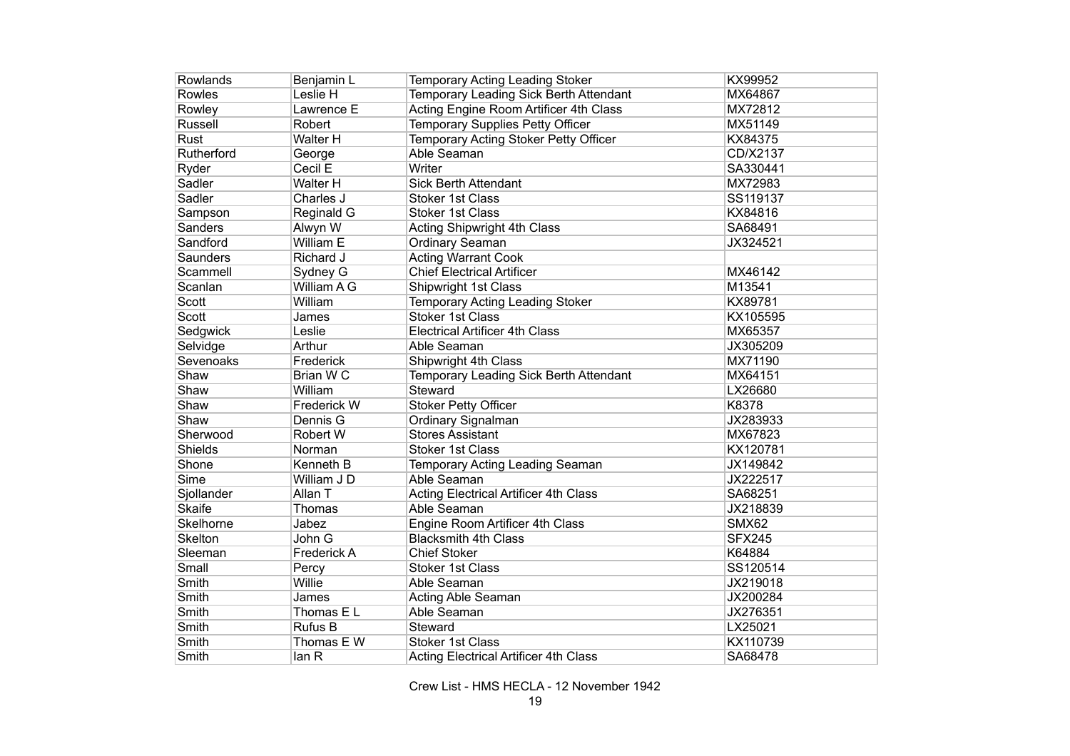| Rowlands       | Benjamin L  | <b>Temporary Acting Leading Stoker</b>       | KX99952       |
|----------------|-------------|----------------------------------------------|---------------|
| Rowles         | Leslie H    | Temporary Leading Sick Berth Attendant       | MX64867       |
| Rowley         | Lawrence E  | Acting Engine Room Artificer 4th Class       | MX72812       |
| <b>Russell</b> | Robert      | <b>Temporary Supplies Petty Officer</b>      | MX51149       |
| <b>Rust</b>    | Walter H    | Temporary Acting Stoker Petty Officer        | KX84375       |
| Rutherford     | George      | Able Seaman                                  | CD/X2137      |
| Ryder          | Cecil E     | Writer                                       | SA330441      |
| Sadler         | Walter H    | <b>Sick Berth Attendant</b>                  | MX72983       |
| Sadler         | Charles J   | <b>Stoker 1st Class</b>                      | SS119137      |
| Sampson        | Reginald G  | <b>Stoker 1st Class</b>                      | KX84816       |
| Sanders        | Alwyn W     | Acting Shipwright 4th Class                  | SA68491       |
| Sandford       | William E   | Ordinary Seaman                              | JX324521      |
| Saunders       | Richard J   | <b>Acting Warrant Cook</b>                   |               |
| Scammell       | Sydney G    | <b>Chief Electrical Artificer</b>            | MX46142       |
| Scanlan        | William A G | <b>Shipwright 1st Class</b>                  | M13541        |
| <b>Scott</b>   | William     | Temporary Acting Leading Stoker              | KX89781       |
| <b>Scott</b>   | James       | <b>Stoker 1st Class</b>                      | KX105595      |
| Sedgwick       | Leslie      | <b>Electrical Artificer 4th Class</b>        | MX65357       |
| Selvidge       | Arthur      | Able Seaman                                  | JX305209      |
| Sevenoaks      | Frederick   | Shipwright 4th Class                         | MX71190       |
| Shaw           | Brian WC    | Temporary Leading Sick Berth Attendant       | MX64151       |
| Shaw           | William     | Steward                                      | LX26680       |
| Shaw           | Frederick W | <b>Stoker Petty Officer</b>                  | K8378         |
| Shaw           | Dennis G    | Ordinary Signalman                           | JX283933      |
| Sherwood       | Robert W    | <b>Stores Assistant</b>                      | MX67823       |
| Shields        | Norman      | <b>Stoker 1st Class</b>                      | KX120781      |
| Shone          | Kenneth B   | Temporary Acting Leading Seaman              | JX149842      |
| <b>Sime</b>    | William J D | Able Seaman                                  | JX222517      |
| Sjollander     | Allan T     | <b>Acting Electrical Artificer 4th Class</b> | SA68251       |
| <b>Skaife</b>  | Thomas      | Able Seaman                                  | JX218839      |
| Skelhorne      | Jabez       | Engine Room Artificer 4th Class              | SMX62         |
| <b>Skelton</b> | John G      | <b>Blacksmith 4th Class</b>                  | <b>SFX245</b> |
| Sleeman        | Frederick A | <b>Chief Stoker</b>                          | K64884        |
| Small          | Percy       | <b>Stoker 1st Class</b>                      | SS120514      |
| Smith          | Willie      | Able Seaman                                  | JX219018      |
| Smith          | James       | Acting Able Seaman                           | JX200284      |
| Smith          | Thomas E L  | Able Seaman                                  | JX276351      |
| Smith          | Rufus B     | Steward                                      | LX25021       |
| Smith          | Thomas E W  | Stoker 1st Class                             | KX110739      |
| Smith          | lan R       | <b>Acting Electrical Artificer 4th Class</b> | SA68478       |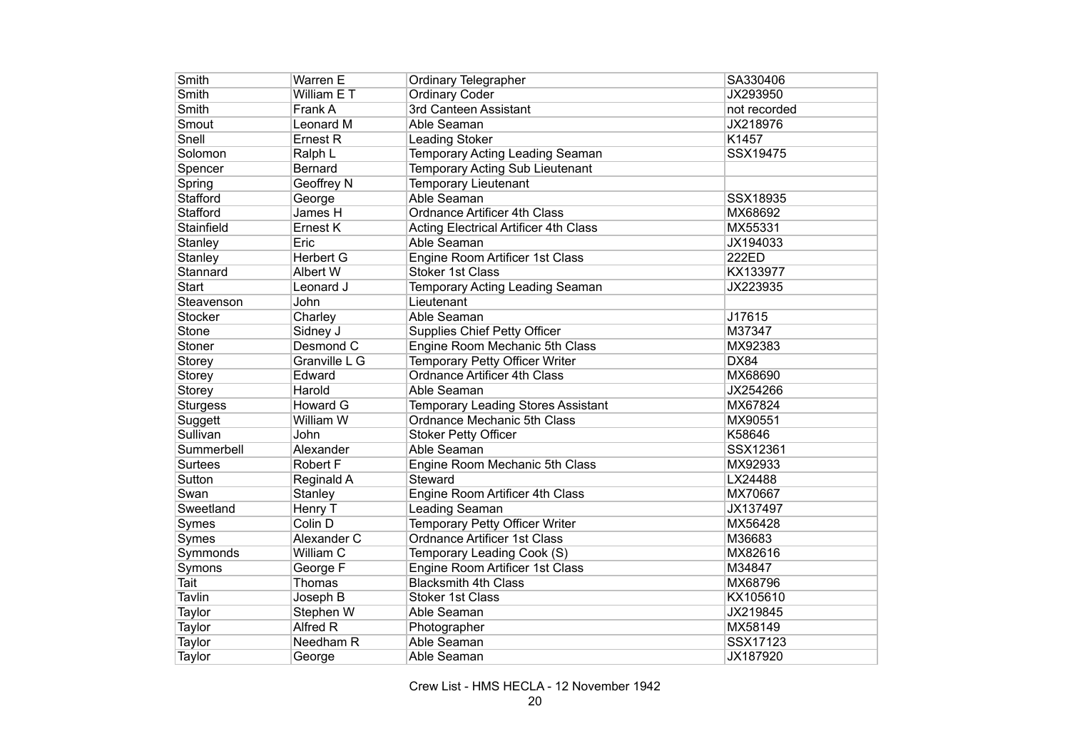| Smith           | Warren E         | <b>Ordinary Telegrapher</b>                  | SA330406     |
|-----------------|------------------|----------------------------------------------|--------------|
| Smith           | William E T      | <b>Ordinary Coder</b>                        | JX293950     |
| Smith           | Frank A          | 3rd Canteen Assistant                        | not recorded |
| Smout           | Leonard M        | Able Seaman                                  | JX218976     |
| Snell           | Ernest R         | <b>Leading Stoker</b>                        | K1457        |
| Solomon         | Ralph L          | Temporary Acting Leading Seaman              | SSX19475     |
| Spencer         | Bernard          | Temporary Acting Sub Lieutenant              |              |
| Spring          | Geoffrey N       | <b>Temporary Lieutenant</b>                  |              |
| Stafford        | George           | Able Seaman                                  | SSX18935     |
| <b>Stafford</b> | James H          | <b>Ordnance Artificer 4th Class</b>          | MX68692      |
| Stainfield      | Ernest K         | <b>Acting Electrical Artificer 4th Class</b> | MX55331      |
| Stanley         | Eric             | Able Seaman                                  | JX194033     |
| Stanley         | <b>Herbert G</b> | Engine Room Artificer 1st Class              | 222ED        |
| Stannard        | Albert W         | <b>Stoker 1st Class</b>                      | KX133977     |
| Start           | Leonard J        | Temporary Acting Leading Seaman              | JX223935     |
| Steavenson      | John             | Lieutenant                                   |              |
| <b>Stocker</b>  | Charley          | Able Seaman                                  | J17615       |
| Stone           | Sidney J         | <b>Supplies Chief Petty Officer</b>          | M37347       |
| Stoner          | Desmond C        | Engine Room Mechanic 5th Class               | MX92383      |
| Storey          | Granville L G    | Temporary Petty Officer Writer               | <b>DX84</b>  |
| Storey          | Edward           | <b>Ordnance Artificer 4th Class</b>          | MX68690      |
| Storey          | Harold           | Able Seaman                                  | JX254266     |
| <b>Sturgess</b> | <b>Howard G</b>  | <b>Temporary Leading Stores Assistant</b>    | MX67824      |
| Suggett         | William W        | Ordnance Mechanic 5th Class                  | MX90551      |
| Sullivan        | John             | <b>Stoker Petty Officer</b>                  | K58646       |
| Summerbell      | Alexander        | Able Seaman                                  | SSX12361     |
| <b>Surtees</b>  | <b>Robert F</b>  | Engine Room Mechanic 5th Class               | MX92933      |
| Sutton          | Reginald A       | Steward                                      | LX24488      |
| Swan            | Stanley          | Engine Room Artificer 4th Class              | MX70667      |
| Sweetland       | Henry T          | Leading Seaman                               | JX137497     |
| Symes           | Colin D          | Temporary Petty Officer Writer               | MX56428      |
| Symes           | Alexander C      | <b>Ordnance Artificer 1st Class</b>          | M36683       |
| Symmonds        | William C        | Temporary Leading Cook (S)                   | MX82616      |
| Symons          | George F         | <b>Engine Room Artificer 1st Class</b>       | M34847       |
| Tait            | Thomas           | <b>Blacksmith 4th Class</b>                  | MX68796      |
| Tavlin          | Joseph B         | <b>Stoker 1st Class</b>                      | KX105610     |
| Taylor          | Stephen W        | Able Seaman                                  | JX219845     |
| Taylor          | Alfred R         | Photographer                                 | MX58149      |
| Taylor          | Needham R        | Able Seaman                                  | SSX17123     |
| Taylor          | George           | Able Seaman                                  | JX187920     |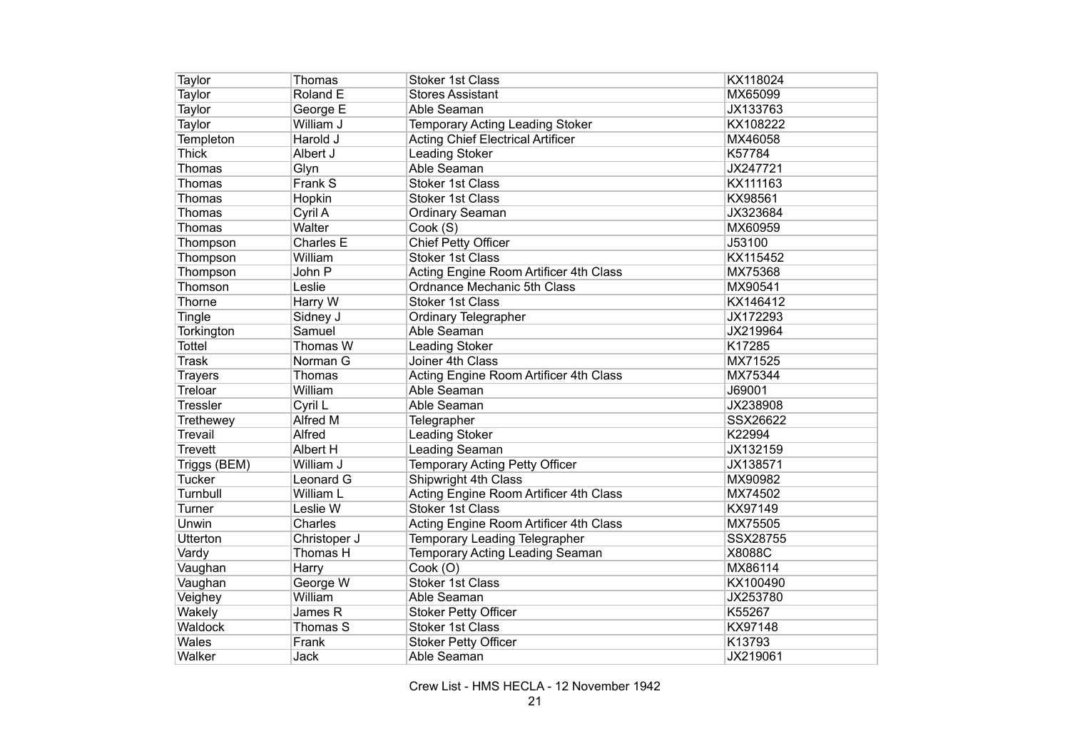| Taylor          | Thomas        | <b>Stoker 1st Class</b>                  | KX118024      |
|-----------------|---------------|------------------------------------------|---------------|
| Taylor          | Roland E      | <b>Stores Assistant</b>                  | MX65099       |
| Taylor          | George E      | Able Seaman                              | JX133763      |
| Taylor          | William J     | <b>Temporary Acting Leading Stoker</b>   | KX108222      |
| Templeton       | Harold J      | <b>Acting Chief Electrical Artificer</b> | MX46058       |
| <b>Thick</b>    | Albert J      | Leading Stoker                           | K57784        |
| Thomas          | Glyn          | Able Seaman                              | JX247721      |
| Thomas          | Frank S       | <b>Stoker 1st Class</b>                  | KX111163      |
| Thomas          | Hopkin        | <b>Stoker 1st Class</b>                  | KX98561       |
| Thomas          | Cyril A       | Ordinary Seaman                          | JX323684      |
| Thomas          | Walter        | Cook (S)                                 | MX60959       |
| Thompson        | Charles E     | <b>Chief Petty Officer</b>               | J53100        |
| Thompson        | William       | <b>Stoker 1st Class</b>                  | KX115452      |
| Thompson        | John P        | Acting Engine Room Artificer 4th Class   | MX75368       |
| Thomson         | Leslie        | Ordnance Mechanic 5th Class              | MX90541       |
| Thorne          | Harry W       | <b>Stoker 1st Class</b>                  | KX146412      |
| Tingle          | Sidney J      | <b>Ordinary Telegrapher</b>              | JX172293      |
| Torkington      | Samuel        | Able Seaman                              | JX219964      |
| <b>Tottel</b>   | Thomas W      | <b>Leading Stoker</b>                    | K17285        |
| <b>Trask</b>    | Norman G      | Joiner 4th Class                         | MX71525       |
| <b>Trayers</b>  | Thomas        | Acting Engine Room Artificer 4th Class   | MX75344       |
| Treloar         | William       | Able Seaman                              | J69001        |
| Tressler        | Cyril L       | Able Seaman                              | JX238908      |
| Trethewey       | Alfred M      | Telegrapher                              | SSX26622      |
| Trevail         | <b>Alfred</b> | <b>Leading Stoker</b>                    | K22994        |
| <b>Trevett</b>  | Albert H      | Leading Seaman                           | JX132159      |
| Triggs (BEM)    | William J     | <b>Temporary Acting Petty Officer</b>    | JX138571      |
| <b>Tucker</b>   | Leonard G     | Shipwright 4th Class                     | MX90982       |
| Turnbull        | William L     | Acting Engine Room Artificer 4th Class   | MX74502       |
| Turner          | Leslie W      | <b>Stoker 1st Class</b>                  | KX97149       |
| Unwin           | Charles       | Acting Engine Room Artificer 4th Class   | MX75505       |
| <b>Utterton</b> | Christoper J  | Temporary Leading Telegrapher            | SSX28755      |
| Vardy           | Thomas H      | Temporary Acting Leading Seaman          | <b>X8088C</b> |
| Vaughan         | Harry         | Cook (O)                                 | MX86114       |
| Vaughan         | George W      | <b>Stoker 1st Class</b>                  | KX100490      |
| Veighey         | William       | Able Seaman                              | JX253780      |
| Wakely          | James R       | <b>Stoker Petty Officer</b>              | K55267        |
| Waldock         | Thomas S      | <b>Stoker 1st Class</b>                  | KX97148       |
| Wales           | Frank         | <b>Stoker Petty Officer</b>              | K13793        |
| Walker          | Jack          | Able Seaman                              | JX219061      |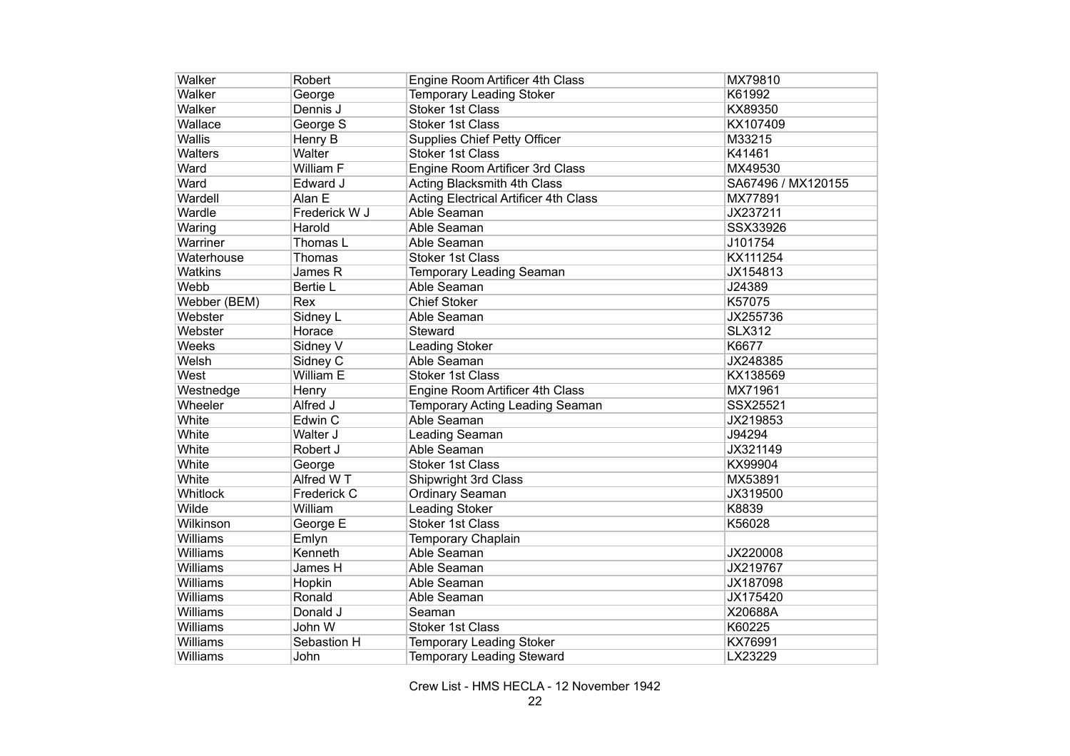| Walker         | Robert        | Engine Room Artificer 4th Class              | MX79810            |
|----------------|---------------|----------------------------------------------|--------------------|
| Walker         | George        | <b>Temporary Leading Stoker</b>              | K61992             |
| Walker         | Dennis J      | <b>Stoker 1st Class</b>                      | KX89350            |
| Wallace        | George S      | <b>Stoker 1st Class</b>                      | KX107409           |
| <b>Wallis</b>  | Henry B       | <b>Supplies Chief Petty Officer</b>          | M33215             |
| <b>Walters</b> | Walter        | <b>Stoker 1st Class</b>                      | K41461             |
| Ward           | William F     | Engine Room Artificer 3rd Class              | MX49530            |
| Ward           | Edward J      | Acting Blacksmith 4th Class                  | SA67496 / MX120155 |
| Wardell        | Alan E        | <b>Acting Electrical Artificer 4th Class</b> | MX77891            |
| Wardle         | Frederick W J | Able Seaman                                  | JX237211           |
| Waring         | Harold        | Able Seaman                                  | SSX33926           |
| Warriner       | Thomas L      | Able Seaman                                  | J101754            |
| Waterhouse     | Thomas        | Stoker 1st Class                             | KX111254           |
| <b>Watkins</b> | James R       | <b>Temporary Leading Seaman</b>              | JX154813           |
| Webb           | Bertie L      | Able Seaman                                  | J24389             |
| Webber (BEM)   | Rex           | <b>Chief Stoker</b>                          | K57075             |
| Webster        | Sidney L      | Able Seaman                                  | JX255736           |
| Webster        | Horace        | Steward                                      | <b>SLX312</b>      |
| Weeks          | Sidney V      | Leading Stoker                               | K6677              |
| Welsh          | Sidney C      | Able Seaman                                  | JX248385           |
| West           | William E     | <b>Stoker 1st Class</b>                      | KX138569           |
| Westnedge      | Henry         | Engine Room Artificer 4th Class              | MX71961            |
| Wheeler        | Alfred J      | Temporary Acting Leading Seaman              | SSX25521           |
| White          | Edwin C       | Able Seaman                                  | JX219853           |
| White          | Walter J      | <b>Leading Seaman</b>                        | J94294             |
| White          | Robert J      | Able Seaman                                  | JX321149           |
| White          | George        | <b>Stoker 1st Class</b>                      | KX99904            |
| White          | Alfred W T    | Shipwright 3rd Class                         | MX53891            |
| Whitlock       | Frederick C   | Ordinary Seaman                              | JX319500           |
| Wilde          | William       | <b>Leading Stoker</b>                        | K8839              |
| Wilkinson      | George E      | <b>Stoker 1st Class</b>                      | K56028             |
| Williams       | Emlyn         | Temporary Chaplain                           |                    |
| Williams       | Kenneth       | Able Seaman                                  | JX220008           |
| Williams       | James H       | Able Seaman                                  | JX219767           |
| Williams       | Hopkin        | Able Seaman                                  | JX187098           |
| Williams       | Ronald        | Able Seaman                                  | JX175420           |
| Williams       | Donald J      | Seaman                                       | X20688A            |
| Williams       | John W        | Stoker 1st Class                             | K60225             |
| Williams       | Sebastion H   | <b>Temporary Leading Stoker</b>              | KX76991            |
| Williams       | John          | <b>Temporary Leading Steward</b>             | LX23229            |